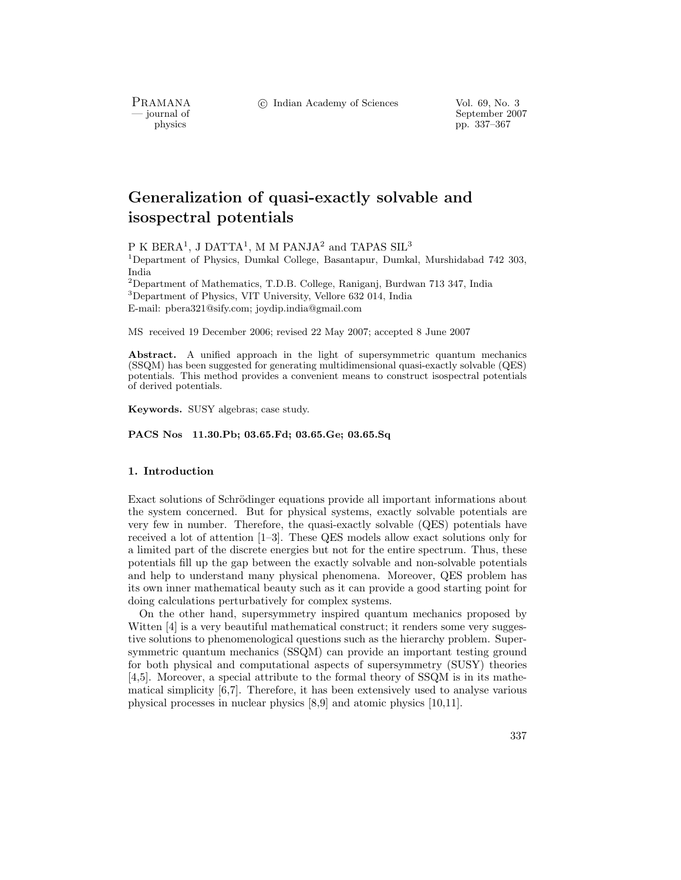c Indian Academy of Sciences Vol. 69, No. 3

PRAMANA<br>
— journal of

September 2007 physics pp. 337–367

# **Generalization of quasi-exactly solvable and isospectral potentials**

P K BERA<sup>1</sup>, J DATTA<sup>1</sup>, M M PANJA<sup>2</sup> and TAPAS SIL<sup>3</sup>

<sup>1</sup>Department of Physics, Dumkal College, Basantapur, Dumkal, Murshidabad 742 303, India

<sup>2</sup>Department of Mathematics, T.D.B. College, Raniganj, Burdwan 713 347, India <sup>3</sup>Department of Physics, VIT University, Vellore 632 014, India E-mail: pbera321@sify.com; joydip.india@gmail.com

MS received 19 December 2006; revised 22 May 2007; accepted 8 June 2007

**Abstract.** A unified approach in the light of supersymmetric quantum mechanics (SSQM) has been suggested for generating multidimensional quasi-exactly solvable (QES) potentials. This method provides a convenient means to construct isospectral potentials of derived potentials.

**Keywords.** SUSY algebras; case study.

**PACS Nos 11.30.Pb; 03.65.Fd; 03.65.Ge; 03.65.Sq**

### **1. Introduction**

Exact solutions of Schrödinger equations provide all important informations about the system concerned. But for physical systems, exactly solvable potentials are very few in number. Therefore, the quasi-exactly solvable (QES) potentials have received a lot of attention [1–3]. These QES models allow exact solutions only for a limited part of the discrete energies but not for the entire spectrum. Thus, these potentials fill up the gap between the exactly solvable and non-solvable potentials and help to understand many physical phenomena. Moreover, QES problem has its own inner mathematical beauty such as it can provide a good starting point for doing calculations perturbatively for complex systems.

On the other hand, supersymmetry inspired quantum mechanics proposed by Witten [4] is a very beautiful mathematical construct; it renders some very suggestive solutions to phenomenological questions such as the hierarchy problem. Supersymmetric quantum mechanics (SSQM) can provide an important testing ground for both physical and computational aspects of supersymmetry (SUSY) theories [4,5]. Moreover, a special attribute to the formal theory of SSQM is in its mathematical simplicity [6,7]. Therefore, it has been extensively used to analyse various physical processes in nuclear physics [8,9] and atomic physics [10,11].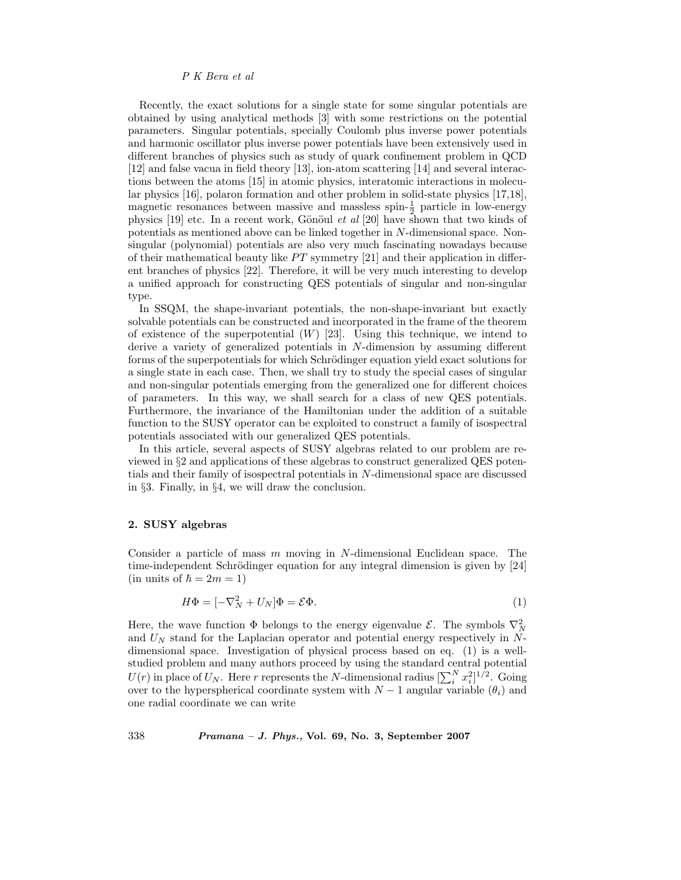Recently, the exact solutions for a single state for some singular potentials are obtained by using analytical methods [3] with some restrictions on the potential parameters. Singular potentials, specially Coulomb plus inverse power potentials and harmonic oscillator plus inverse power potentials have been extensively used in different branches of physics such as study of quark confinement problem in QCD [12] and false vacua in field theory [13], ion-atom scattering [14] and several interactions between the atoms [15] in atomic physics, interatomic interactions in molecular physics [16], polaron formation and other problem in solid-state physics [17,18], magnetic resonances between massive and massless spin- $\frac{1}{2}$  particle in low-energy physics [19] etc. In a recent work, Gönöul *et al* [20] have shown that two kinds of potentials as mentioned above can be linked together in N-dimensional space. Nonsingular (polynomial) potentials are also very much fascinating nowadays because of their mathematical beauty like  $PT$  symmetry [21] and their application in different branches of physics [22]. Therefore, it will be very much interesting to develop a unified approach for constructing QES potentials of singular and non-singular type.

In SSQM, the shape-invariant potentials, the non-shape-invariant but exactly solvable potentials can be constructed and incorporated in the frame of the theorem of existence of the superpotential  $(W)$  [23]. Using this technique, we intend to derive a variety of generalized potentials in N-dimension by assuming different forms of the superpotentials for which Schrödinger equation yield exact solutions for a single state in each case. Then, we shall try to study the special cases of singular and non-singular potentials emerging from the generalized one for different choices of parameters. In this way, we shall search for a class of new QES potentials. Furthermore, the invariance of the Hamiltonian under the addition of a suitable function to the SUSY operator can be exploited to construct a family of isospectral potentials associated with our generalized QES potentials.

In this article, several aspects of SUSY algebras related to our problem are reviewed in §2 and applications of these algebras to construct generalized QES potentials and their family of isospectral potentials in N-dimensional space are discussed in §3. Finally, in §4, we will draw the conclusion.

#### **2. SUSY algebras**

Consider a particle of mass m moving in N-dimensional Euclidean space. The time-independent Schrödinger equation for any integral dimension is given by [24]  $(in \text{ units of } \hbar = 2m = 1)$ 

$$
H\Phi = [-\nabla_N^2 + U_N]\Phi = \mathcal{E}\Phi.
$$
\n(1)

Here, the wave function  $\Phi$  belongs to the energy eigenvalue  $\mathcal{E}$ . The symbols  $\nabla_N^2$ and  $U<sub>N</sub>$  stand for the Laplacian operator and potential energy respectively in Ndimensional space. Investigation of physical process based on eq. (1) is a wellstudied problem and many authors proceed by using the standard central potential  $U(r)$  in place of  $U_N$ . Here r represents the N-dimensional radius  $[\sum_i^N x_i^2]^{1/2}$ . Going over to the hyperspherical coordinate system with  $N-1$  angular variable  $(\theta_i)$  and one radial coordinate we can write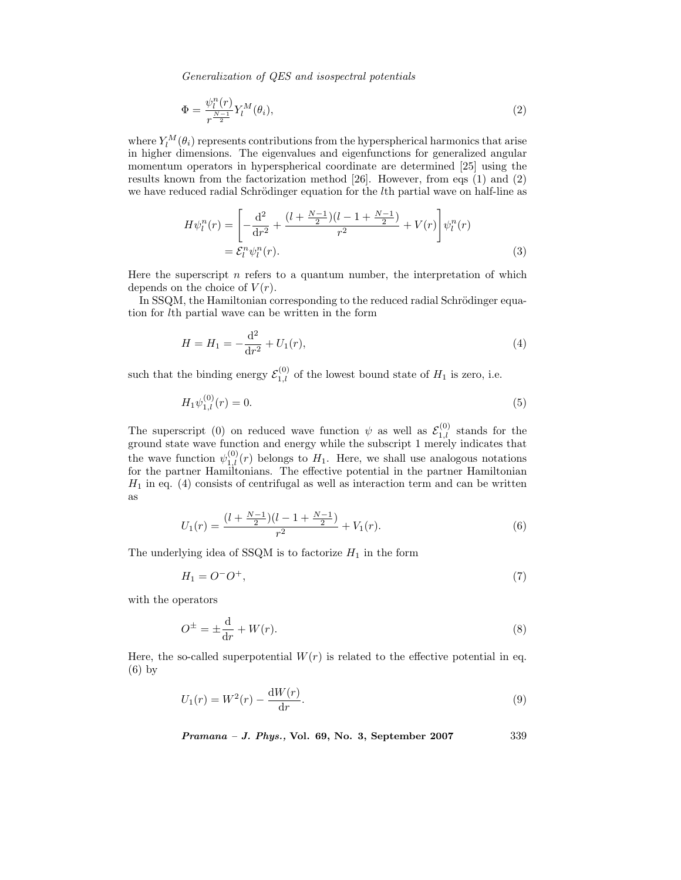$$
\Phi = \frac{\psi_l^n(r)}{r^{\frac{N-1}{2}}} Y_l^M(\theta_i),\tag{2}
$$

where  $Y_l^M(\theta_i)$  represents contributions from the hyperspherical harmonics that arise in higher dimensions. The eigenvalues and eigenfunctions for generalized angular momentum operators in hyperspherical coordinate are determined [25] using the results known from the factorization method [26]. However, from eqs (1) and (2) we have reduced radial Schrödinger equation for the *l*th partial wave on half-line as

$$
H\psi_l^n(r) = \left[ -\frac{d^2}{dr^2} + \frac{(l + \frac{N-1}{2})(l - 1 + \frac{N-1}{2})}{r^2} + V(r) \right] \psi_l^n(r)
$$
  
=  $\mathcal{E}_l^n \psi_l^n(r).$  (3)

Here the superscript  $n$  refers to a quantum number, the interpretation of which depends on the choice of  $V(r)$ .

In SSQM, the Hamiltonian corresponding to the reduced radial Schrödinger equation for lth partial wave can be written in the form

$$
H = H_1 = -\frac{d^2}{dr^2} + U_1(r),\tag{4}
$$

such that the binding energy  $\mathcal{E}_{1,l}^{(0)}$  of the lowest bound state of  $H_1$  is zero, i.e.

$$
H_1 \psi_{1,l}^{(0)}(r) = 0. \tag{5}
$$

The superscript (0) on reduced wave function  $\psi$  as well as  $\mathcal{E}_{1,l}^{(0)}$  stands for the ground state wave function and energy while the subscript 1 merely indicates that the wave function  $\psi_{1,l}^{(0)}(r)$  belongs to  $H_1$ . Here, we shall use analogous notations for the partner Hamiltonians. The effective potential in the partner Hamiltonian  $H_1$  in eq. (4) consists of centrifugal as well as interaction term and can be written as

$$
U_1(r) = \frac{(l + \frac{N-1}{2})(l - 1 + \frac{N-1}{2})}{r^2} + V_1(r).
$$
\n(6)

The underlying idea of SSQM is to factorize  $H_1$  in the form

$$
H_1 = O^-O^+, \tag{7}
$$

with the operators

$$
O^{\pm} = \pm \frac{\mathrm{d}}{\mathrm{d}r} + W(r). \tag{8}
$$

Here, the so-called superpotential  $W(r)$  is related to the effective potential in eq. (6) by

$$
U_1(r) = W^2(r) - \frac{dW(r)}{dr}.
$$
\n(9)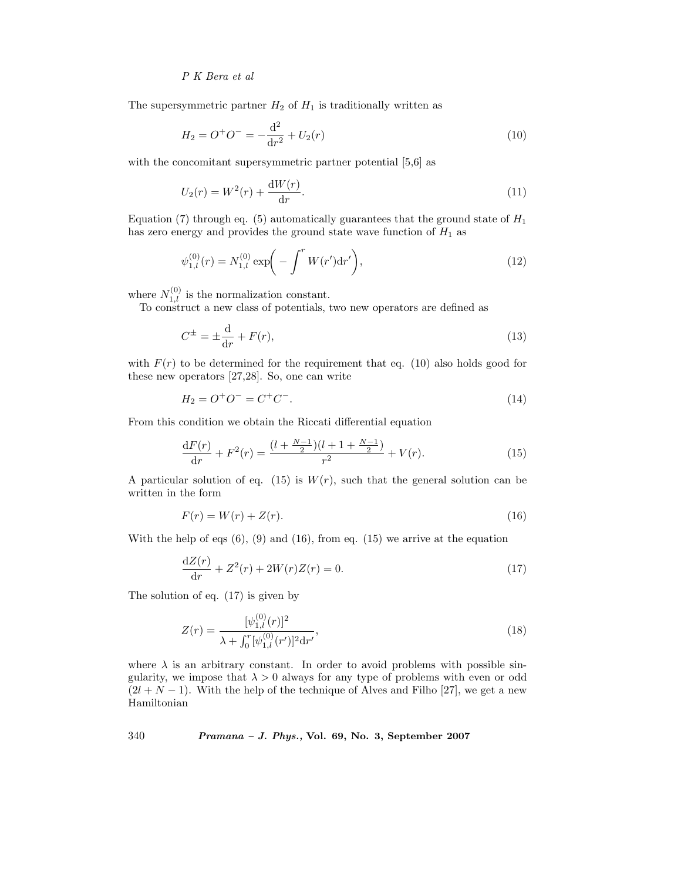The supersymmetric partner  $H_2$  of  $H_1$  is traditionally written as

$$
H_2 = O^+O^- = -\frac{\mathrm{d}^2}{\mathrm{d}r^2} + U_2(r) \tag{10}
$$

with the concomitant supersymmetric partner potential [5,6] as

$$
U_2(r) = W^2(r) + \frac{dW(r)}{dr}.
$$
\n(11)

Equation (7) through eq. (5) automatically guarantees that the ground state of  $H_1$ has zero energy and provides the ground state wave function of  $H_1$  as

$$
\psi_{1,l}^{(0)}(r) = N_{1,l}^{(0)} \exp\biggl(-\int^r W(r') \mathrm{d}r'\biggr),\tag{12}
$$

where  $N_{1,l}^{(0)}$  is the normalization constant.

To construct a new class of potentials, two new operators are defined as

$$
C^{\pm} = \pm \frac{\mathrm{d}}{\mathrm{d}r} + F(r),\tag{13}
$$

with  $F(r)$  to be determined for the requirement that eq. (10) also holds good for these new operators [27,28]. So, one can write

$$
H_2 = O^+O^- = C^+C^-.
$$
\n(14)

From this condition we obtain the Riccati differential equation

$$
\frac{\mathrm{d}F(r)}{\mathrm{d}r} + F^2(r) = \frac{(l + \frac{N-1}{2})(l + 1 + \frac{N-1}{2})}{r^2} + V(r). \tag{15}
$$

A particular solution of eq. (15) is  $W(r)$ , such that the general solution can be written in the form

$$
F(r) = W(r) + Z(r). \tag{16}
$$

With the help of eqs  $(6)$ ,  $(9)$  and  $(16)$ , from eq.  $(15)$  we arrive at the equation

$$
\frac{dZ(r)}{dr} + Z^2(r) + 2W(r)Z(r) = 0.
$$
\n(17)

The solution of eq. (17) is given by

$$
Z(r) = \frac{[\psi_{1,l}^{(0)}(r)]^2}{\lambda + \int_0^r [\psi_{1,l}^{(0)}(r')]^2 \mathrm{d}r'},\tag{18}
$$

where  $\lambda$  is an arbitrary constant. In order to avoid problems with possible singularity, we impose that  $\lambda > 0$  always for any type of problems with even or odd  $(2l + N - 1)$ . With the help of the technique of Alves and Filho [27], we get a new Hamiltonian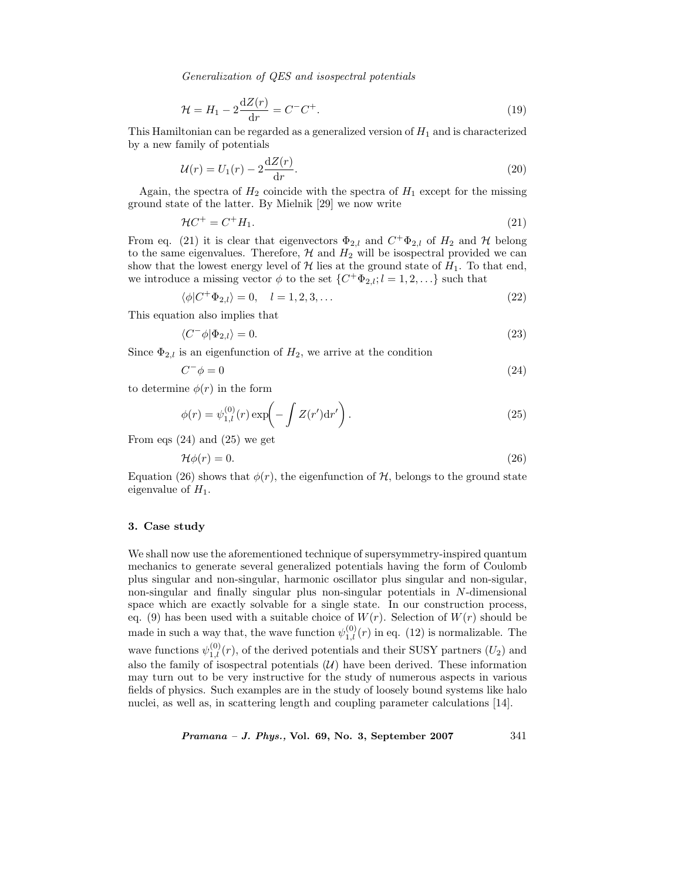$$
\mathcal{H} = H_1 - 2\frac{\mathrm{d}Z(r)}{\mathrm{d}r} = C^{-}C^{+}.\tag{19}
$$

This Hamiltonian can be regarded as a generalized version of  $H_1$  and is characterized by a new family of potentials

$$
\mathcal{U}(r) = U_1(r) - 2\frac{\mathrm{d}Z(r)}{\mathrm{d}r}.\tag{20}
$$

Again, the spectra of  $H_2$  coincide with the spectra of  $H_1$  except for the missing ground state of the latter. By Mielnik [29] we now write

$$
\mathcal{H}C^+ = C^+H_1. \tag{21}
$$

From eq. (21) it is clear that eigenvectors  $\Phi_{2,l}$  and  $C^+\Phi_{2,l}$  of  $H_2$  and  $\mathcal H$  belong to the same eigenvalues. Therefore,  $H$  and  $H_2$  will be isospectral provided we can show that the lowest energy level of  $\mathcal H$  lies at the ground state of  $H_1$ . To that end, we introduce a missing vector  $\phi$  to the set  $\{C^+\Phi_{2,l}; l=1,2,\ldots\}$  such that

$$
\langle \phi | C^+ \Phi_{2,l} \rangle = 0, \quad l = 1, 2, 3, \dots \tag{22}
$$

This equation also implies that

$$
\langle C^- \phi | \Phi_{2,l} \rangle = 0. \tag{23}
$$

Since  $\Phi_{2,l}$  is an eigenfunction of  $H_2$ , we arrive at the condition

$$
C^{-}\phi = 0 \tag{24}
$$

to determine  $\phi(r)$  in the form

$$
\phi(r) = \psi_{1,l}^{(0)}(r) \exp\left(-\int Z(r') dr'\right). \tag{25}
$$

From eqs (24) and (25) we get

$$
\mathcal{H}\phi(r) = 0.\tag{26}
$$

Equation (26) shows that  $\phi(r)$ , the eigenfunction of H, belongs to the ground state eigenvalue of  $H_1$ .

### **3. Case study**

We shall now use the aforementioned technique of supersymmetry-inspired quantum mechanics to generate several generalized potentials having the form of Coulomb plus singular and non-singular, harmonic oscillator plus singular and non-sigular, non-singular and finally singular plus non-singular potentials in N-dimensional space which are exactly solvable for a single state. In our construction process, eq. (9) has been used with a suitable choice of  $W(r)$ . Selection of  $W(r)$  should be made in such a way that, the wave function  $\psi_{1,l}^{(0)}(r)$  in eq. (12) is normalizable. The wave functions  $\psi_{1,l}^{(0)}(r)$ , of the derived potentials and their SUSY partners  $(U_2)$  and also the family of isospectral potentials  $(U)$  have been derived. These information may turn out to be very instructive for the study of numerous aspects in various fields of physics. Such examples are in the study of loosely bound systems like halo nuclei, as well as, in scattering length and coupling parameter calculations [14].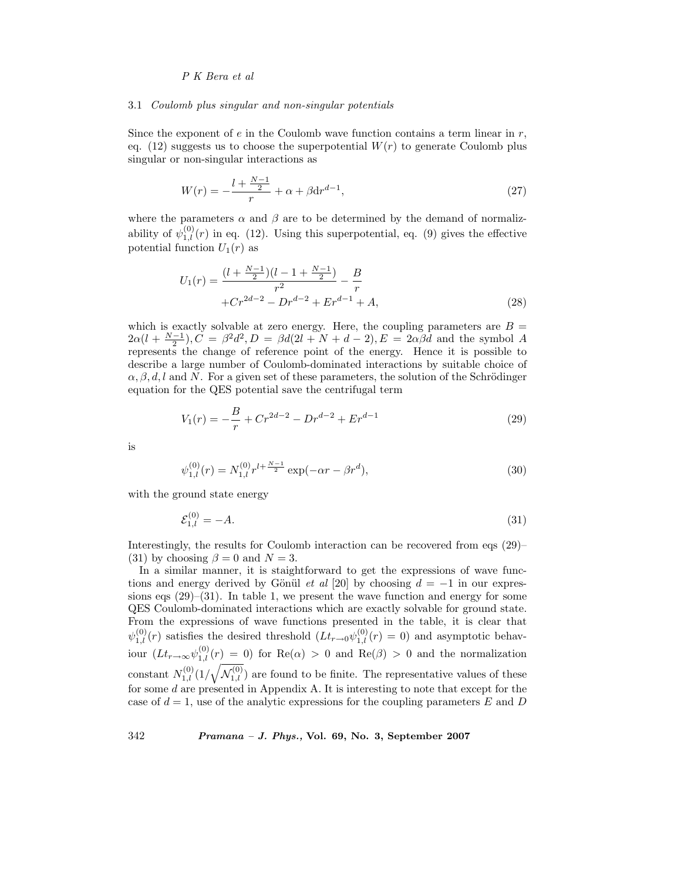#### 3.1 *Coulomb plus singular and non-singular potentials*

Since the exponent of  $e$  in the Coulomb wave function contains a term linear in  $r$ , eq. (12) suggests us to choose the superpotential  $W(r)$  to generate Coulomb plus singular or non-singular interactions as

$$
W(r) = -\frac{l + \frac{N-1}{2}}{r} + \alpha + \beta \mathrm{d}r^{d-1},\tag{27}
$$

where the parameters  $\alpha$  and  $\beta$  are to be determined by the demand of normalizability of  $\psi_{1,l}^{(0)}(r)$  in eq. (12). Using this superpotential, eq. (9) gives the effective potential function  $U_1(r)$  as

$$
U_1(r) = \frac{(l + \frac{N-1}{2})(l - 1 + \frac{N-1}{2})}{r^2} - \frac{B}{r}
$$
  
+
$$
Cr^{2d-2} - Dr^{d-2} + Er^{d-1} + A,
$$
 (28)

which is exactly solvable at zero energy. Here, the coupling parameters are  $B =$  $2\alpha(l + \frac{N-1}{2}), C = \beta^2 d^2, D = \beta d(2l + N + d - 2), E = 2\alpha \beta d$  and the symbol A represents the change of reference point of the energy. Hence it is possible to describe a large number of Coulomb-dominated interactions by suitable choice of  $\alpha, \beta, d, l$  and N. For a given set of these parameters, the solution of the Schrödinger equation for the QES potential save the centrifugal term

$$
V_1(r) = -\frac{B}{r} + Cr^{2d-2} - Dr^{d-2} + Er^{d-1}
$$
\n(29)

is

$$
\psi_{1,l}^{(0)}(r) = N_{1,l}^{(0)} r^{l + \frac{N-1}{2}} \exp(-\alpha r - \beta r^d),\tag{30}
$$

with the ground state energy

$$
\mathcal{E}_{1,l}^{(0)} = -A.\tag{31}
$$

Interestingly, the results for Coulomb interaction can be recovered from eqs (29)– (31) by choosing  $\beta = 0$  and  $N = 3$ .

In a similar manner, it is staightforward to get the expressions of wave functions and energy derived by Gönül *et al* [20] by choosing  $d = -1$  in our expressions eqs  $(29)$ – $(31)$ . In table 1, we present the wave function and energy for some QES Coulomb-dominated interactions which are exactly solvable for ground state. From the expressions of wave functions presented in the table, it is clear that  $\psi_{1,l}^{(0)}(r)$  satisfies the desired threshold  $(Lt_{r\to 0}\psi_{1,l}^{(0)}(r) = 0)$  and asymptotic behaviour  $(Lt_{r\to\infty}\psi_{1,l}^{(0)}(r) = 0)$  for  $\text{Re}(\alpha) > 0$  and  $\text{Re}(\beta) > 0$  and the normalization constant  $N_{1,l}^{(0)}(1/\sqrt{N_{1,l}^{(0)}})$  are found to be finite. The representative values of these for some d are presented in Appendix A. It is interesting to note that except for the case of  $d = 1$ , use of the analytic expressions for the coupling parameters E and D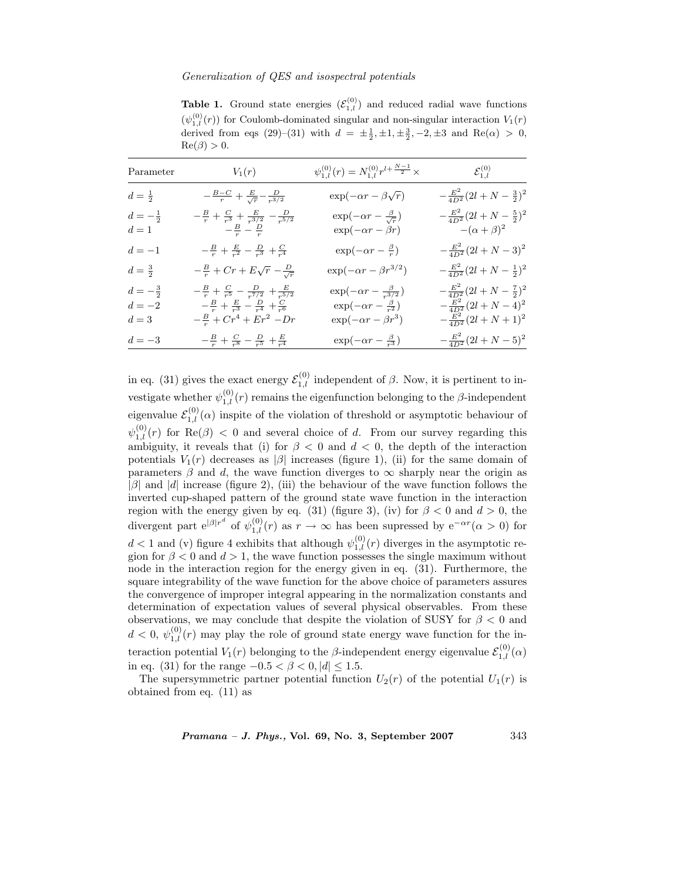**Table 1.** Ground state energies  $(\mathcal{E}_{1,l}^{(0)})$  and reduced radial wave functions  $(\psi_{1,l}^{(0)}(r))$  for Coulomb-dominated singular and non-singular interaction  $V_1(r)$ derived from eqs (29)–(31) with  $d = \pm \frac{1}{2}, \pm 1, \pm \frac{3}{2}, -2, \pm 3$  and Re( $\alpha$ ) > 0,  $\text{Re}(\beta) > 0.$ 

| Parameter                               | $V_1(r)$                                                                                                                                                                                | $\psi_{1,l}^{(0)}(r) = N_{1,l}^{(0)} r^{l+\frac{N-1}{2}} \times$                                                    | $\mathcal{E}^{(0)}_{1.l}$                                                                                 |
|-----------------------------------------|-----------------------------------------------------------------------------------------------------------------------------------------------------------------------------------------|---------------------------------------------------------------------------------------------------------------------|-----------------------------------------------------------------------------------------------------------|
| $d=\frac{1}{2}$                         | $-\frac{B-C}{r} + \frac{E}{\sqrt{r}} - \frac{D}{r^{3/2}}$                                                                                                                               | $\exp(-\alpha r - \beta \sqrt{r})$                                                                                  | $-\frac{E^2}{4D^2}(2l+N-\frac{3}{2})^2$                                                                   |
| $d = -\frac{1}{2}$<br>$d=1$             | $\begin{array}{c c} -\frac{B}{r}+\frac{C}{r^3}+\frac{E}{r^{3/2}}-\frac{D}{r^{5/2}} \\ \hline -\frac{B}{r}-\frac{D}{r} \end{array}$                                                      | $\label{eq:1} \begin{array}{l} \exp(-\alpha r-\frac{\beta}{\sqrt{r}})\\ \exp(-\alpha r-\beta r) \end{array}$        | $-\frac{E^2}{4D^2}(2l+N-\frac{5}{2})^2$<br>- $(\alpha+\beta)^2$                                           |
| $d=-1$                                  | $-\frac{B}{r} + \frac{E}{r^2} - \frac{D}{r^3} + \frac{C}{r^4}$                                                                                                                          | $\exp(-\alpha r - \frac{\beta}{r})$                                                                                 | $-\frac{E^2}{4D^2}(2l+N-3)^2$                                                                             |
| $d=\frac{3}{2}$                         | $-\frac{B}{r}$ + $Cr + E\sqrt{r} - \frac{D}{\sqrt{r}}$                                                                                                                                  | $\exp(-\alpha r - \beta r^{3/2})$                                                                                   | $-\frac{E^2}{4D^2}(2l+N-\frac{1}{2})^2$                                                                   |
| $d=-\frac{3}{2}$<br>$d=-2\,$<br>$d=3\,$ | $-\frac{B}{r}+\frac{C}{r^5}-\frac{D}{r^{7/2}}+\frac{E}{r^{5/2}}$<br>$\begin{array}{c c} -\frac{B}{r}+\frac{E}{r^3}-\frac{D}{r^4}+\frac{C}{r^6}\\ -\frac{B}{r}+Cr^4+Er^2-Dr \end{array}$ | $\exp(-\alpha r - \frac{\beta}{r^{3/2}})$<br>$\exp(-\alpha r - \frac{\beta}{r^2})$<br>$\exp(-\alpha r - \beta r^3)$ | $-\frac{E^2}{4D^2}(2l+N-\frac{7}{2})^2$<br>$-\frac{E^2}{4D^2}(2l+N-4)^2$<br>$-\frac{E^2}{4D^2}(2l+N+1)^2$ |
| $d=-3\,$                                | $-\frac{B}{r}+\frac{C}{r^8}-\frac{D}{r^5}+\frac{E}{r^4}$                                                                                                                                | $\exp(-\alpha r - \frac{\beta}{r^3})$                                                                               | $-\frac{E^2}{4D^2}(2l+N-5)^2$                                                                             |

in eq. (31) gives the exact energy  $\mathcal{E}_{1,l}^{(0)}$  independent of  $\beta$ . Now, it is pertinent to investigate whether  $\psi_{1,l}^{(0)}(r)$  remains the eigenfunction belonging to the  $\beta$ -independent eigenvalue  $\mathcal{E}_{1,l}^{(0)}(\alpha)$  inspite of the violation of threshold or asymptotic behaviour of  $\psi^{(0)}_{1,l}(r)$  for  $\text{Re}(\beta) < 0$  and several choice of d. From our survey regarding this ambiguity, it reveals that (i) for  $\beta < 0$  and  $d < 0$ , the depth of the interaction potentials  $V_1(r)$  decreases as  $|\beta|$  increases (figure 1), (ii) for the same domain of parameters  $\beta$  and d, the wave function diverges to  $\infty$  sharply near the origin as  $|\beta|$  and  $|d|$  increase (figure 2), (iii) the behaviour of the wave function follows the inverted cup-shaped pattern of the ground state wave function in the interaction region with the energy given by eq. (31) (figure 3), (iv) for  $\beta < 0$  and  $d > 0$ , the divergent part  $e^{|\beta|r^d}$  of  $\psi_{1,l}^{(0)}(r)$  as  $r \to \infty$  has been supressed by  $e^{-\alpha r}(\alpha > 0)$  for  $d < 1$  and (v) figure 4 exhibits that although  $\psi_{1,l}^{(0)}(r)$  diverges in the asymptotic region for  $\beta < 0$  and  $d > 1$ , the wave function possesses the single maximum without node in the interaction region for the energy given in eq. (31). Furthermore, the square integrability of the wave function for the above choice of parameters assures the convergence of improper integral appearing in the normalization constants and determination of expectation values of several physical observables. From these observations, we may conclude that despite the violation of SUSY for  $\beta < 0$  and  $d < 0, \psi_{1,l}^{(0)}(r)$  may play the role of ground state energy wave function for the interaction potential  $V_1(r)$  belonging to the  $\beta$ -independent energy eigenvalue  $\mathcal{E}_{1,l}^{(0)}(\alpha)$ in eq. (31) for the range  $-0.5 < \beta < 0, |d| \le 1.5$ .

The supersymmetric partner potential function  $U_2(r)$  of the potential  $U_1(r)$  is obtained from eq. (11) as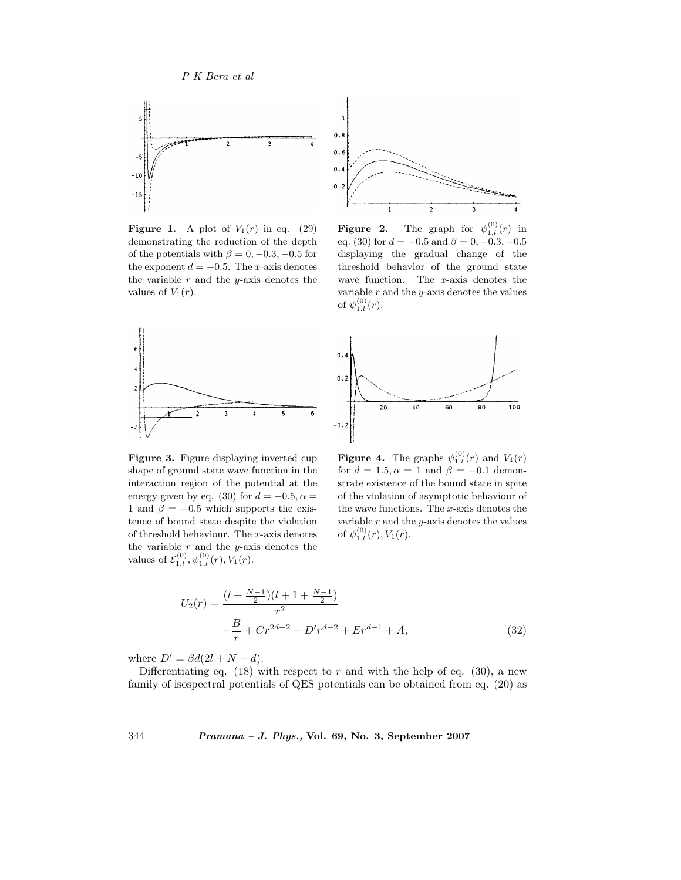

**Figure 1.** A plot of  $V_1(r)$  in eq. (29) demonstrating the reduction of the depth of the potentials with  $\beta = 0, -0.3, -0.5$  for the exponent  $d = -0.5$ . The x-axis denotes the variable  $r$  and the  $y$ -axis denotes the values of  $V_1(r)$ .



**Figure 2.** The graph for  $\psi_{1,l}^{(0)}(r)$  in eq. (30) for  $d = -0.5$  and  $\beta = 0, -0.3, -0.5$ displaying the gradual change of the threshold behavior of the ground state wave function. The  $x$ -axis denotes the variable  $r$  and the  $y$ -axis denotes the values of  $\psi_{1,l}^{(0)}(r)$ .





**Figure 3.** Figure displaying inverted cup shape of ground state wave function in the interaction region of the potential at the energy given by eq. (30) for  $d = -0.5, \alpha =$ 1 and  $\beta = -0.5$  which supports the existence of bound state despite the violation of threshold behaviour. The x-axis denotes the variable  $r$  and the *y*-axis denotes the values of  $\mathcal{E}_{1,l}^{(0)}$ ,  $\psi_{1,l}^{(0)}(r)$ ,  $V_1(r)$ .

**Figure 4.** The graphs  $\psi_{1,l}^{(0)}(r)$  and  $V_1(r)$ for  $d = 1.5, \alpha = 1$  and  $\beta = -0.1$  demonstrate existence of the bound state in spite of the violation of asymptotic behaviour of the wave functions. The  $x$ -axis denotes the variable  $r$  and the  $y$ -axis denotes the values of  $\psi^{(0)}_{1,l}(r), V_1(r)$ .

$$
U_2(r) = \frac{(l + \frac{N-1}{2})(l + 1 + \frac{N-1}{2})}{r^2}
$$

$$
- \frac{B}{r} + Cr^{2d-2} - D'r^{d-2} + Er^{d-1} + A,
$$
(32)

where  $D' = \beta d(2l + N - d)$ .

Differentiating eq. (18) with respect to r and with the help of eq. (30), a new family of isospectral potentials of QES potentials can be obtained from eq. (20) as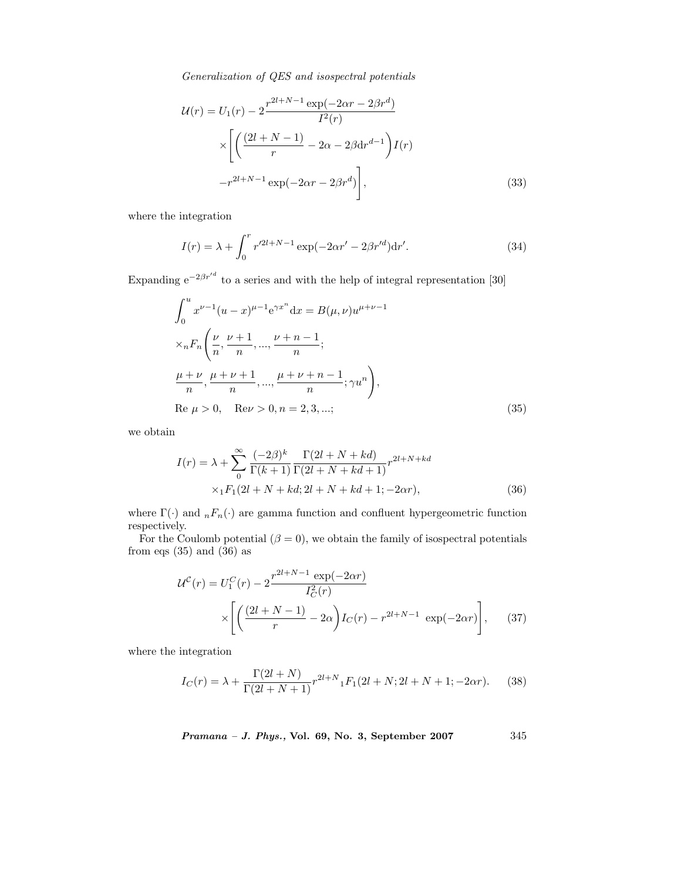$$
\mathcal{U}(r) = U_1(r) - 2 \frac{r^{2l+N-1} \exp(-2\alpha r - 2\beta r^d)}{I^2(r)} \times \left[ \left( \frac{(2l+N-1)}{r} - 2\alpha - 2\beta \mathrm{d}r^{d-1} \right) I(r) - r^{2l+N-1} \exp(-2\alpha r - 2\beta r^d) \right],
$$
\n(33)

where the integration

$$
I(r) = \lambda + \int_0^r r'^{2l+N-1} \exp(-2\alpha r' - 2\beta r'^d) dr'. \tag{34}
$$

Expanding  $e^{-2\beta r'^d}$  to a series and with the help of integral representation [30]

$$
\int_0^u x^{\nu-1} (u-x)^{\mu-1} e^{\gamma x^n} dx = B(\mu, \nu) u^{\mu+\nu-1}
$$
  
\n
$$
\times_n F_n \left( \frac{\nu}{n}, \frac{\nu+1}{n}, \dots, \frac{\nu+n-1}{n};
$$
  
\n
$$
\frac{\mu+\nu}{n}, \frac{\mu+\nu+1}{n}, \dots, \frac{\mu+\nu+n-1}{n}; \gamma u^n \right),
$$
  
\nRe  $\mu > 0$ , Re $\nu > 0$ ,  $n = 2, 3, \dots$ ; (35)

we obtain

$$
I(r) = \lambda + \sum_{0}^{\infty} \frac{(-2\beta)^k}{\Gamma(k+1)} \frac{\Gamma(2l+N+kd)}{\Gamma(2l+N+kd+1)} r^{2l+N+kd} \times {}_1F_1(2l+N+kd; 2l+N+kd+1; -2\alpha r),
$$
\n(36)

where  $\Gamma(\cdot)$  and  $nF_n(\cdot)$  are gamma function and confluent hypergeometric function respectively.

For the Coulomb potential  $(\beta = 0)$ , we obtain the family of isospectral potentials from eqs  $(35)$  and  $(36)$  as

$$
\mathcal{U}^{C}(r) = U_{1}^{C}(r) - 2 \frac{r^{2l+N-1} \exp(-2\alpha r)}{I_{C}^{2}(r)} \times \left[ \left( \frac{(2l+N-1)}{r} - 2\alpha \right) I_{C}(r) - r^{2l+N-1} \exp(-2\alpha r) \right], \quad (37)
$$

where the integration

$$
I_C(r) = \lambda + \frac{\Gamma(2l+N)}{\Gamma(2l+N+1)} r^{2l+N} {}_1F_1(2l+N; 2l+N+1; -2\alpha r). \tag{38}
$$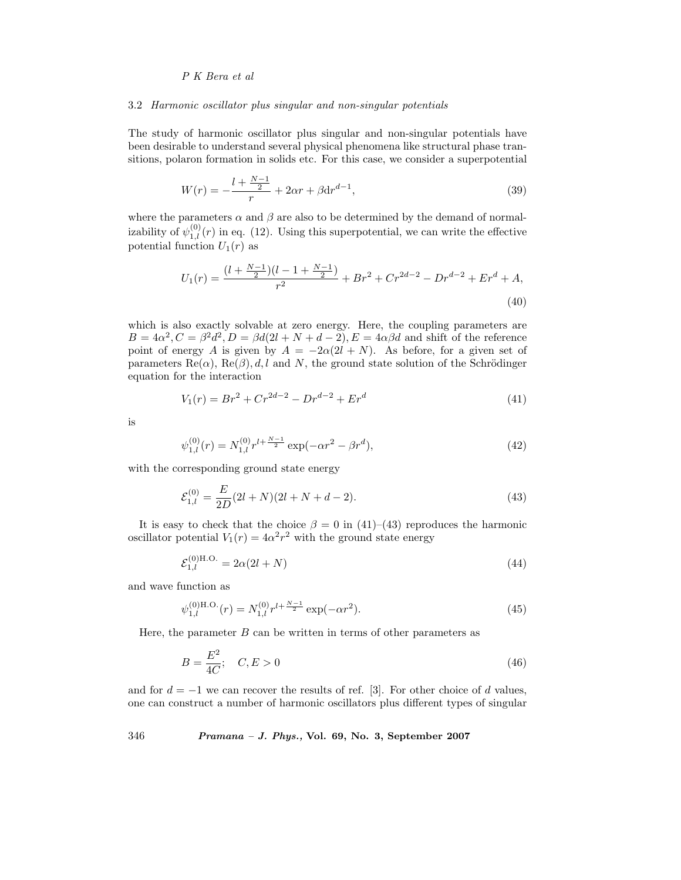#### 3.2 *Harmonic oscillator plus singular and non-singular potentials*

The study of harmonic oscillator plus singular and non-singular potentials have been desirable to understand several physical phenomena like structural phase transitions, polaron formation in solids etc. For this case, we consider a superpotential

$$
W(r) = -\frac{l + \frac{N-1}{2}}{r} + 2\alpha r + \beta \mathrm{d}r^{d-1},\tag{39}
$$

where the parameters  $\alpha$  and  $\beta$  are also to be determined by the demand of normalizability of  $\psi_{1,l}^{(0)}(r)$  in eq. (12). Using this superpotential, we can write the effective potential function  $U_1(r)$  as

$$
U_1(r) = \frac{(l + \frac{N-1}{2})(l - 1 + \frac{N-1}{2})}{r^2} + Br^2 + Cr^{2d-2} - Dr^{d-2} + Er^d + A,
$$
\n(40)

which is also exactly solvable at zero energy. Here, the coupling parameters are  $B = 4\alpha^2$ ,  $C = \beta^2 d^2$ ,  $D = \beta d(2l + N + d - 2)$ ,  $E = 4\alpha\beta d$  and shift of the reference point of energy A is given by  $A = -2\alpha(2l + N)$ . As before, for a given set of parameters  $\text{Re}(\alpha)$ ,  $\text{Re}(\beta)$ , d, l and N, the ground state solution of the Schrödinger equation for the interaction

$$
V_1(r) = Br^2 + Cr^{2d-2} - Dr^{d-2} + Er^d
$$
\n(41)

is

$$
\psi_{1,l}^{(0)}(r) = N_{1,l}^{(0)} r^{l + \frac{N-1}{2}} \exp(-\alpha r^2 - \beta r^d),\tag{42}
$$

with the corresponding ground state energy

$$
\mathcal{E}_{1,l}^{(0)} = \frac{E}{2D}(2l+N)(2l+N+d-2). \tag{43}
$$

It is easy to check that the choice  $\beta = 0$  in (41)–(43) reproduces the harmonic oscillator potential  $V_1(r)=4\alpha^2r^2$  with the ground state energy

$$
\mathcal{E}_{1,l}^{(0)H.O.} = 2\alpha(2l+N) \tag{44}
$$

and wave function as

$$
\psi_{1,l}^{(0)H.O.}(r) = N_{1,l}^{(0)} r^{l + \frac{N-1}{2}} \exp(-\alpha r^2).
$$
\n(45)

Here, the parameter  $B$  can be written in terms of other parameters as

$$
B = \frac{E^2}{4C}; \quad C, E > 0
$$
\n(46)

and for  $d = -1$  we can recover the results of ref. [3]. For other choice of d values, one can construct a number of harmonic oscillators plus different types of singular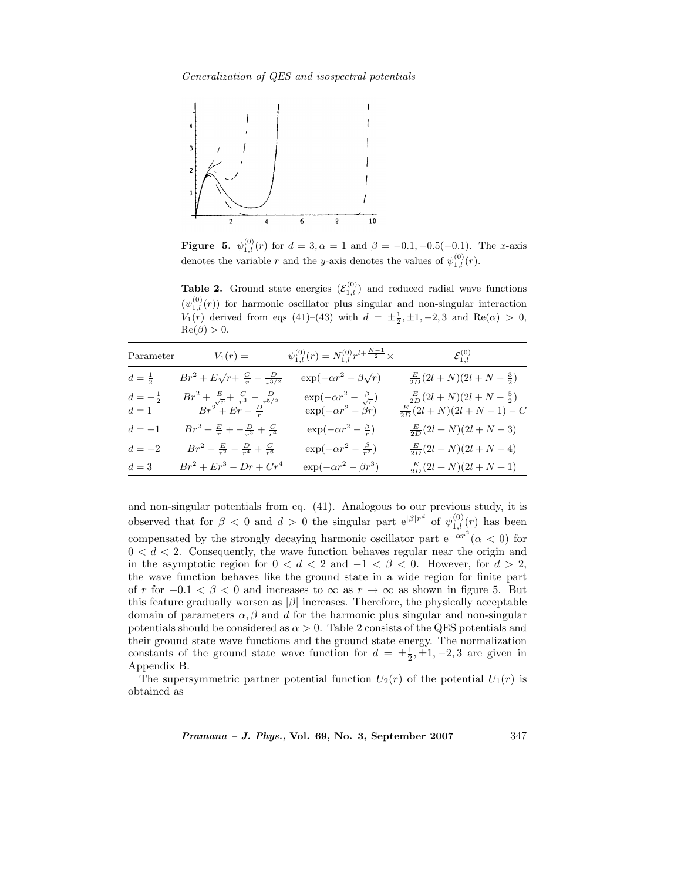*Generalization of QES and isospectral potentials*



**Figure 5.**  $\psi_{1,l}^{(0)}(r)$  for  $d = 3, \alpha = 1$  and  $\beta = -0.1, -0.5(-0.1)$ . The x-axis denotes the variable r and the y-axis denotes the values of  $\psi_{1,l}^{(0)}(r)$ .

**Table 2.** Ground state energies  $(\mathcal{E}_{1,l}^{(0)})$  and reduced radial wave functions  $(\psi_{1,l}^{(0)}(r))$  for harmonic oscillator plus singular and non-singular interaction  $V_1(r)$  derived from eqs (41)–(43) with  $d = \pm \frac{1}{2}, \pm 1, -2, 3$  and  $Re(\alpha) > 0$ ,  $\text{Re}(\beta) > 0.$ 

| $\label{eq:parameter} {\rm Parameter}$ | $V_1(r) =$                                                                                   | $\psi_{1,l}^{(0)}(r) = N_{1,l}^{(0)} r^{l+\frac{N-1}{2}} \times$              | $\mathcal{E}_{1l}^{(0)}$                                                    |
|----------------------------------------|----------------------------------------------------------------------------------------------|-------------------------------------------------------------------------------|-----------------------------------------------------------------------------|
| $d=\frac{1}{2}$                        | $Br^2 + E\sqrt{r} + \frac{C}{r} - \frac{D}{r^{3/2}}$                                         | $\exp(-\alpha r^2 - \beta \sqrt{r})$                                          | $\frac{E}{2D}(2l+N)(2l+N-\frac{3}{2})$                                      |
| $d=-\frac{1}{2}$<br>$d=1$              | $Br^2 + \frac{E}{\sqrt{r}} + \frac{C}{r^3} - \frac{D}{r^{5/2}}$<br>$Br^2 + Er - \frac{D}{r}$ | $\exp(-\alpha r^2 - \frac{\beta}{\sqrt{r}})$<br>$\exp(-\alpha r^2 - \beta r)$ | $\frac{\frac{E}{2D}(2l+N)(2l+N-\frac{5}{2})}{\frac{E}{2D}(2l+N)(2l+N-1)-C}$ |
| $d=-1$                                 | $Br^2 + \frac{E}{r} + -\frac{D}{r^3} + \frac{C}{r^4}$                                        | $\exp(-\alpha r^2 - \frac{\beta}{r})$                                         | $\frac{E}{2D}(2l+N)(2l+N-3)$                                                |
| $d=-2\,$                               | $Br^2 + \frac{E}{r^2} - \frac{D}{r^4} + \frac{C}{r^6}$                                       | $\exp(-\alpha r^2 - \frac{\beta}{r^2})$                                       | $\frac{E}{2D}(2l+N)(2l+N-4)$                                                |
| $d=3$                                  | $Br^2 + Er^3 - Dr + Cr^4$                                                                    | $\exp(-\alpha r^2 - \beta r^3)$                                               | $\frac{E}{2D}(2l+N)(2l+N+1)$                                                |

and non-singular potentials from eq. (41). Analogous to our previous study, it is observed that for  $\beta < 0$  and  $d > 0$  the singular part  $e^{|\beta|r^d}$  of  $\psi_{1,l}^{(0)}(r)$  has been compensated by the strongly decaying harmonic oscillator part  $e^{-\alpha r^2}(\alpha < 0)$  for  $0 < d < 2$ . Consequently, the wave function behaves regular near the origin and in the asymptotic region for  $0 < d < 2$  and  $-1 < \beta < 0$ . However, for  $d > 2$ , the wave function behaves like the ground state in a wide region for finite part of r for  $-0.1 < \beta < 0$  and increases to  $\infty$  as  $r \to \infty$  as shown in figure 5. But this feature gradually worsen as  $|\beta|$  increases. Therefore, the physically acceptable domain of parameters  $\alpha, \beta$  and d for the harmonic plus singular and non-singular potentials should be considered as  $\alpha > 0$ . Table 2 consists of the QES potentials and their ground state wave functions and the ground state energy. The normalization constants of the ground state wave function for  $d = \pm \frac{1}{2}, \pm 1, -2, 3$  are given in Appendix B.

The supersymmetric partner potential function  $U_2(r)$  of the potential  $U_1(r)$  is obtained as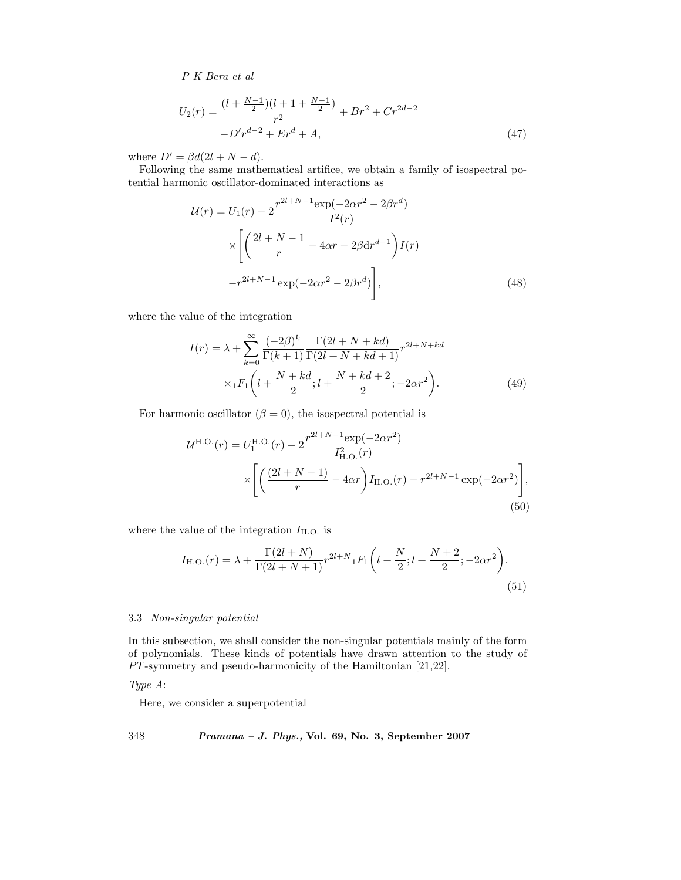$$
U_2(r) = \frac{(l + \frac{N-1}{2})(l + 1 + \frac{N-1}{2})}{r^2} + Br^2 + Cr^{2d-2}
$$

$$
-D'r^{d-2} + Er^d + A,
$$
(47)

where  $D' = \beta d(2l + N - d)$ .

Following the same mathematical artifice, we obtain a family of isospectral potential harmonic oscillator-dominated interactions as

$$
\mathcal{U}(r) = U_1(r) - 2 \frac{r^{2l+N-1} \exp(-2\alpha r^2 - 2\beta r^d)}{I^2(r)}
$$

$$
\times \left[ \left( \frac{2l+N-1}{r} - 4\alpha r - 2\beta \mathrm{d} r^{d-1} \right) I(r) - r^{2l+N-1} \exp(-2\alpha r^2 - 2\beta r^d) \right], \tag{48}
$$

where the value of the integration

$$
I(r) = \lambda + \sum_{k=0}^{\infty} \frac{(-2\beta)^k}{\Gamma(k+1)} \frac{\Gamma(2l+N+kd)}{\Gamma(2l+N+kd+1)} r^{2l+N+kd} \times {}_1F_1 \left( l + \frac{N+kd}{2}; l + \frac{N+kd+2}{2}; -2\alpha r^2 \right).
$$
 (49)

For harmonic oscillator  $(\beta = 0)$ , the isospectral potential is

$$
\mathcal{U}^{\text{H.O.}}(r) = U_1^{\text{H.O.}}(r) - 2 \frac{r^{2l+N-1} \exp(-2\alpha r^2)}{I_{\text{H.O.}}^2(r)} \times \left[ \left( \frac{(2l+N-1)}{r} - 4\alpha r \right) I_{\text{H.O.}}(r) - r^{2l+N-1} \exp(-2\alpha r^2) \right],
$$
\n(50)

where the value of the integration  $I_{\rm H.O.}$  is

$$
I_{\text{H.O.}}(r) = \lambda + \frac{\Gamma(2l+N)}{\Gamma(2l+N+1)} r^{2l+N} {}_{1}F_{1}\left(l + \frac{N}{2}; l + \frac{N+2}{2}; -2\alpha r^{2}\right).
$$
\n(51)

#### 3.3 *Non-singular potential*

In this subsection, we shall consider the non-singular potentials mainly of the form of polynomials. These kinds of potentials have drawn attention to the study of  $PT$ -symmetry and pseudo-harmonicity of the Hamiltonian [21,22].

*Type A*:

Here, we consider a superpotential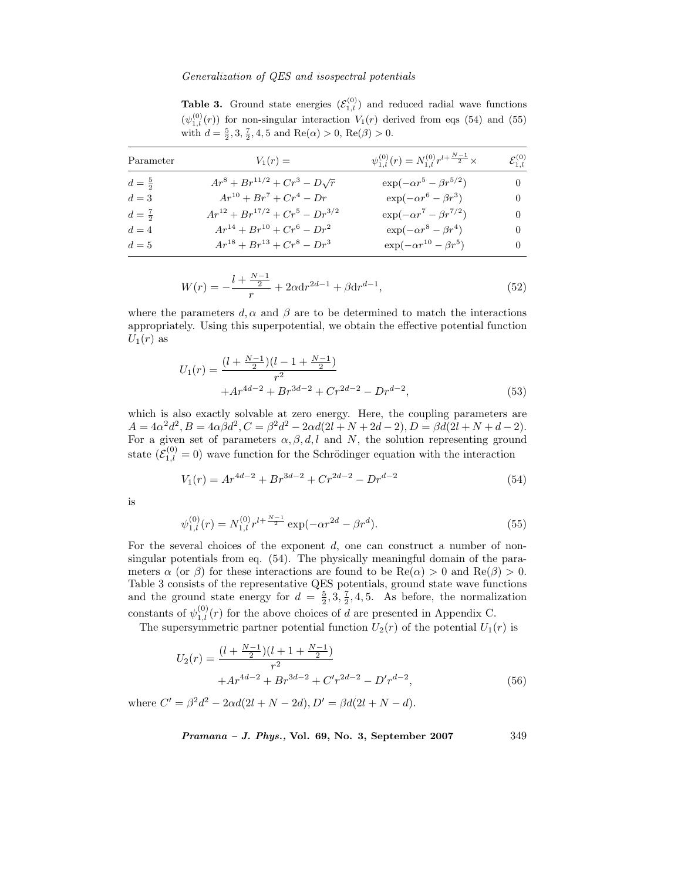**Table 3.** Ground state energies  $(\mathcal{E}_{1,l}^{(0)})$  and reduced radial wave functions  $(\psi_{1,l}^{(0)}(r))$  for non-singular interaction  $V_1(r)$  derived from eqs (54) and (55) with  $d = \frac{5}{2}, 3, \frac{7}{2}, 4, 5$  and  $\text{Re}(\alpha) > 0$ ,  $\text{Re}(\beta) > 0$ .

| Parameter         | $V_1(r) =$                              | $\psi_{1,l}^{(0)}(r) = N_{1,l}^{(0)} r^{l+\frac{N-1}{2}} \times$ | $\mathcal{E}^{(0)}_{1,l}$ |
|-------------------|-----------------------------------------|------------------------------------------------------------------|---------------------------|
| $d = \frac{5}{2}$ | $Ar^8 + Br^{11/2} + Cr^3 - D\sqrt{r}$   | $\exp(-\alpha r^5 - \beta r^{5/2})$                              | $\theta$                  |
| $d=3$             | $Ar^{10} + Br^7 + Cr^4 - Dr$            | $\exp(-\alpha r^6 - \beta r^3)$                                  | $\theta$                  |
| $d=\frac{7}{2}$   | $Ar^{12} + Br^{17/2} + Cr^5 - Dr^{3/2}$ | $\exp(-\alpha r^7 - \beta r^{7/2})$                              |                           |
| $d=4$             | $Ar^{14} + Br^{10} + Cr^6 - Dr^2$       | $\exp(-\alpha r^8 - \beta r^4)$                                  | $\theta$                  |
| $d=5$             | $Ar^{18} + Br^{13} + Cr^8 - Dr^3$       | $\exp(-\alpha r^{10} - \beta r^5)$                               | 0                         |

$$
W(r) = -\frac{l + \frac{N-1}{2}}{r} + 2\alpha \mathrm{d}r^{2d-1} + \beta \mathrm{d}r^{d-1},\tag{52}
$$

where the parameters d,  $\alpha$  and  $\beta$  are to be determined to match the interactions appropriately. Using this superpotential, we obtain the effective potential function  $U_1(r)$  as

$$
U_1(r) = \frac{(l + \frac{N-1}{2})(l - 1 + \frac{N-1}{2})}{r^2} + Ar^{4d-2} + Br^{3d-2} + Cr^{2d-2} - Dr^{d-2},
$$
\n(53)

which is also exactly solvable at zero energy. Here, the coupling parameters are  $A = 4\alpha^2 d^2$ ,  $B = 4\alpha \beta d^2$ ,  $C = \beta^2 d^2 - 2\alpha d(2l + N + 2d - 2)$ ,  $D = \beta \ddot{d}(2l + N + d - 2)$ . For a given set of parameters  $\alpha, \beta, d, l$  and N, the solution representing ground state  $(\mathcal{E}_{1,l}^{(0)} = 0)$  wave function for the Schrödinger equation with the interaction

$$
V_1(r) = Ar^{4d-2} + Br^{3d-2} + Cr^{2d-2} - Dr^{d-2}
$$
\n(54)

is

$$
\psi_{1,l}^{(0)}(r) = N_{1,l}^{(0)} r^{l + \frac{N-1}{2}} \exp(-\alpha r^{2d} - \beta r^d). \tag{55}
$$

For the several choices of the exponent d, one can construct a number of nonsingular potentials from eq. (54). The physically meaningful domain of the parameters  $\alpha$  (or  $\beta$ ) for these interactions are found to be  $\text{Re}(\alpha) > 0$  and  $\text{Re}(\beta) > 0$ . Table 3 consists of the representative QES potentials, ground state wave functions and the ground state energy for  $d = \frac{5}{2}, 3, \frac{7}{2}, 4, 5$ . As before, the normalization constants of  $\psi_{1,l}^{(0)}(r)$  for the above choices of d are presented in Appendix C.

The supersymmetric partner potential function  $U_2(r)$  of the potential  $U_1(r)$  is

$$
U_2(r) = \frac{(l + \frac{N-1}{2})(l + 1 + \frac{N-1}{2})}{r^2} + Ar^{4d-2} + Br^{3d-2} + C'r^{2d-2} - D'r^{d-2},
$$
\n(56)

where  $C' = \beta^2 d^2 - 2\alpha d(2l + N - 2d), D' = \beta d(2l + N - d).$ 

$$
Pramana - J. Phys., Vol. 69, No. 3, September 2007
$$
 349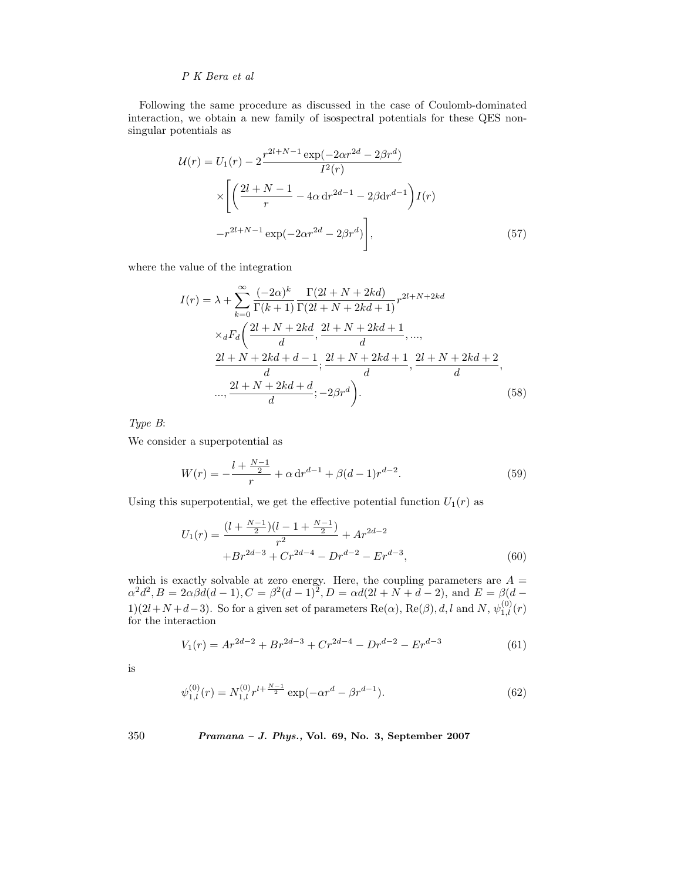Following the same procedure as discussed in the case of Coulomb-dominated interaction, we obtain a new family of isospectral potentials for these QES nonsingular potentials as

$$
\mathcal{U}(r) = U_1(r) - 2 \frac{r^{2l+N-1} \exp(-2\alpha r^{2d} - 2\beta r^d)}{I^2(r)}
$$

$$
\times \left[ \left( \frac{2l+N-1}{r} - 4\alpha \, dr^{2d-1} - 2\beta \, dr^{d-1} \right) I(r) - r^{2l+N-1} \exp(-2\alpha r^{2d} - 2\beta r^d) \right],\tag{57}
$$

where the value of the integration

$$
I(r) = \lambda + \sum_{k=0}^{\infty} \frac{(-2\alpha)^k}{\Gamma(k+1)} \frac{\Gamma(2l+N+2kd)}{\Gamma(2l+N+2kd+1)} r^{2l+N+2kd} \times {}_dF_d \left( \frac{2l+N+2kd}{d}, \frac{2l+N+2kd+1}{d}, \dots, \frac{2l+N+2kd+d-1}{d}; \frac{2l+N+2kd+1}{d}, \frac{2l+N+2kd+2}{d}, \dots, \frac{2l+N+2kd+d}{d}; -2\beta r^d \right).
$$
\n(58)

*Type B*:

We consider a superpotential as

$$
W(r) = -\frac{l + \frac{N-1}{2}}{r} + \alpha \, dr^{d-1} + \beta (d-1) r^{d-2}.
$$
\n(59)

Using this superpotential, we get the effective potential function  $U_1(r)$  as

$$
U_1(r) = \frac{(l + \frac{N-1}{2})(l - 1 + \frac{N-1}{2})}{r^2} + Ar^{2d-2} + Br^{2d-3} + Cr^{2d-4} - Dr^{d-2} - Er^{d-3},\tag{60}
$$

which is exactly solvable at zero energy. Here, the coupling parameters are  $A =$  $\alpha^2 d^2$ ,  $B = 2\alpha\beta d(d-1)$ ,  $C = \beta^2(d-1)^2$ ,  $D = \alpha d(2l + N + d - 2)$ , and  $E = \beta(d - 1)$ 1)(2l+N + d-3). So for a given set of parameters  $\text{Re}(\alpha)$ ,  $\text{Re}(\beta)$ , d, l and N,  $\psi_{1,l}^{(0)}(r)$ for the interaction

$$
V_1(r) = Ar^{2d-2} + Br^{2d-3} + Cr^{2d-4} - Dr^{d-2} - Er^{d-3}
$$
 (61)

is

$$
\psi_{1,l}^{(0)}(r) = N_{1,l}^{(0)} r^{l + \frac{N-1}{2}} \exp(-\alpha r^d - \beta r^{d-1}).\tag{62}
$$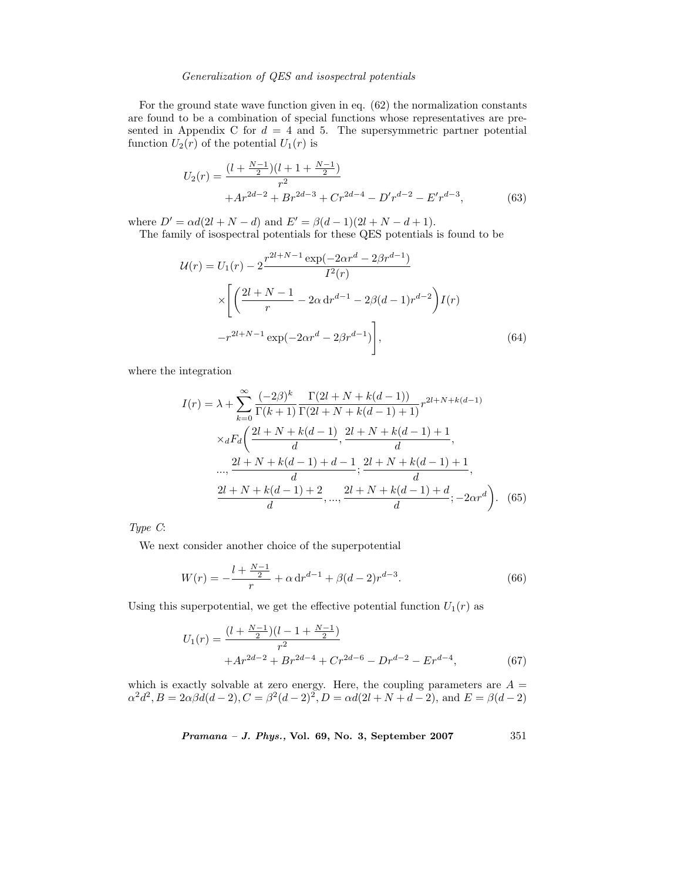For the ground state wave function given in eq. (62) the normalization constants are found to be a combination of special functions whose representatives are presented in Appendix C for  $d = 4$  and 5. The supersymmetric partner potential function  $U_2(r)$  of the potential  $U_1(r)$  is

$$
U_2(r) = \frac{(l + \frac{N-1}{2})(l + 1 + \frac{N-1}{2})}{r^2} + Ar^{2d-2} + Br^{2d-3} + Cr^{2d-4} - D'r^{d-2} - E'r^{d-3},
$$
(63)

where  $D' = \alpha d(2l + N - d)$  and  $E' = \beta(d - 1)(2l + N - d + 1)$ .

The family of isospectral potentials for these QES potentials is found to be

$$
\mathcal{U}(r) = U_1(r) - 2 \frac{r^{2l+N-1} \exp(-2\alpha r^d - 2\beta r^{d-1})}{I^2(r)}
$$

$$
\times \left[ \left( \frac{2l+N-1}{r} - 2\alpha \, dr^{d-1} - 2\beta (d-1) r^{d-2} \right) I(r) - r^{2l+N-1} \exp(-2\alpha r^d - 2\beta r^{d-1}) \right],\tag{64}
$$

where the integration

$$
I(r) = \lambda + \sum_{k=0}^{\infty} \frac{(-2\beta)^k}{\Gamma(k+1)} \frac{\Gamma(2l+N+k(d-1))}{\Gamma(2l+N+k(d-1)+1)} r^{2l+N+k(d-1)}
$$

$$
\times {}_dF_d \left( \frac{2l+N+k(d-1)}{d}, \frac{2l+N+k(d-1)+1}{d}, \frac{2l+N+k(d-1)+1}{d}, \frac{2l+N+k(d-1)+1}{d}, \frac{2l+N+k(d-1)+d}{d} \right)
$$

$$
\frac{2l+N+k(d-1)+2}{d}, \dots, \frac{2l+N+k(d-1)+d}{d}; -2\alpha r^d \left). \tag{65}
$$

*Type C*:

We next consider another choice of the superpotential

$$
W(r) = -\frac{l + \frac{N-1}{2}}{r} + \alpha \, dr^{d-1} + \beta (d-2)r^{d-3}.
$$
\n(66)

Using this superpotential, we get the effective potential function  $U_1(r)$  as

$$
U_1(r) = \frac{(l + \frac{N-1}{2})(l - 1 + \frac{N-1}{2})}{r^2} + Ar^{2d-2} + Br^{2d-4} + Cr^{2d-6} - Dr^{d-2} - Er^{d-4},\tag{67}
$$

which is exactly solvable at zero energy. Here, the coupling parameters are  $A =$  $\alpha^2 d^2$ ,  $B = 2\alpha\beta d(d-2)$ ,  $C = \beta^2(d-2)^2$ ,  $D = \alpha d(2l + N + d - 2)$ , and  $E = \beta(d-2)$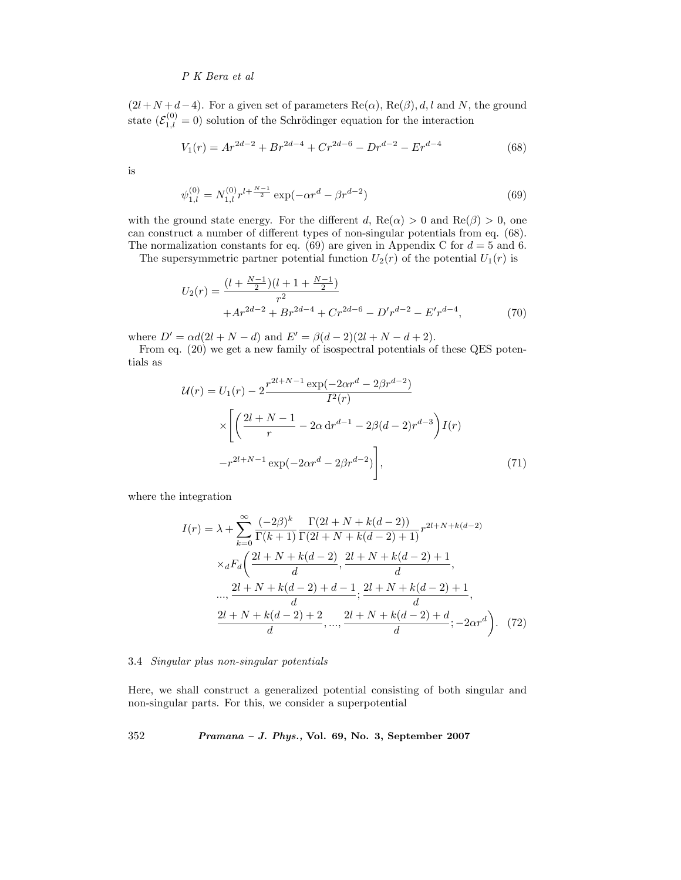$(2l+N+d-4)$ . For a given set of parameters Re $(\alpha)$ , Re $(\beta)$ , d, l and N, the ground state  $(\mathcal{E}_{1,l}^{(0)} = 0)$  solution of the Schrödinger equation for the interaction

$$
V_1(r) = Ar^{2d-2} + Br^{2d-4} + Cr^{2d-6} - Dr^{d-2} - Er^{d-4}
$$
 (68)

is

$$
\psi_{1,l}^{(0)} = N_{1,l}^{(0)} r^{l + \frac{N-1}{2}} \exp(-\alpha r^d - \beta r^{d-2})
$$
\n(69)

with the ground state energy. For the different d,  $\text{Re}(\alpha) > 0$  and  $\text{Re}(\beta) > 0$ , one can construct a number of different types of non-singular potentials from eq. (68). The normalization constants for eq. (69) are given in Appendix C for  $d = 5$  and 6.

The supersymmetric partner potential function  $U_2(r)$  of the potential  $U_1(r)$  is

$$
U_2(r) = \frac{(l + \frac{N-1}{2})(l + 1 + \frac{N-1}{2})}{r^2} + Ar^{2d-2} + Br^{2d-4} + Cr^{2d-6} - D'r^{d-2} - E'r^{d-4},
$$
(70)

where  $D' = \alpha d(2l + N - d)$  and  $E' = \beta(d - 2)(2l + N - d + 2)$ .

From eq. (20) we get a new family of isospectral potentials of these QES potentials as

$$
\mathcal{U}(r) = U_1(r) - 2 \frac{r^{2l+N-1} \exp(-2\alpha r^d - 2\beta r^{d-2})}{I^2(r)}
$$

$$
\times \left[ \left( \frac{2l+N-1}{r} - 2\alpha \, dr^{d-1} - 2\beta (d-2) r^{d-3} \right) I(r) - r^{2l+N-1} \exp(-2\alpha r^d - 2\beta r^{d-2}) \right],\tag{71}
$$

where the integration

$$
I(r) = \lambda + \sum_{k=0}^{\infty} \frac{(-2\beta)^k}{\Gamma(k+1)} \frac{\Gamma(2l+N+k(d-2))}{\Gamma(2l+N+k(d-2)+1)} r^{2l+N+k(d-2)}
$$

$$
\times {}_dF_d \left( \frac{2l+N+k(d-2)}{d}, \frac{2l+N+k(d-2)+1}{d}, \frac{2l+N+k(d-2)+1}{d}, \frac{2l+N+k(d-2)+1}{d}, \frac{2l+N+k(d-2)+2}{d}, \dots, \frac{2l+N+k(d-2)+d}{d}; -2\alpha r^d \right). \tag{72}
$$

#### 3.4 *Singular plus non-singular potentials*

Here, we shall construct a generalized potential consisting of both singular and non-singular parts. For this, we consider a superpotential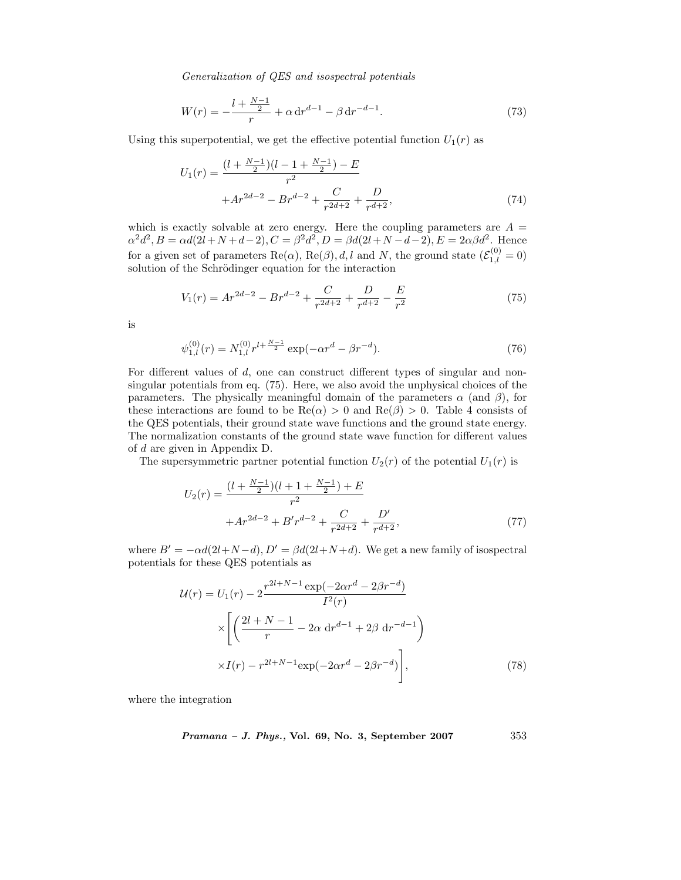$$
W(r) = -\frac{l + \frac{N-1}{2}}{r} + \alpha \, dr^{d-1} - \beta \, dr^{-d-1}.
$$
\n(73)

Using this superpotential, we get the effective potential function  $U_1(r)$  as

$$
U_1(r) = \frac{(l + \frac{N-1}{2})(l - 1 + \frac{N-1}{2}) - E}{r^2} + Ar^{2d-2} - Br^{d-2} + \frac{C}{r^{2d+2}} + \frac{D}{r^{d+2}},\tag{74}
$$

which is exactly solvable at zero energy. Here the coupling parameters are  $A =$  $\alpha^2 d^2$ ,  $B = \alpha d(2l + N + d - 2)$ ,  $C = \beta^2 d^2$ ,  $D = \beta d(2l + N - d - 2)$ ,  $E = 2\alpha\beta d^2$ . Hence for a given set of parameters  $\text{Re}(\alpha)$ ,  $\text{Re}(\beta)$ , d, l and N, the ground state  $(\mathcal{E}_{1,l}^{(0)} = 0)$ solution of the Schrödinger equation for the interaction

$$
V_1(r) = Ar^{2d-2} - Br^{d-2} + \frac{C}{r^{2d+2}} + \frac{D}{r^{d+2}} - \frac{E}{r^2}
$$
 (75)

is

$$
\psi_{1,l}^{(0)}(r) = N_{1,l}^{(0)} r^{l + \frac{N-1}{2}} \exp(-\alpha r^d - \beta r^{-d}).\tag{76}
$$

For different values of d, one can construct different types of singular and nonsingular potentials from eq. (75). Here, we also avoid the unphysical choices of the parameters. The physically meaningful domain of the parameters  $\alpha$  (and  $\beta$ ), for these interactions are found to be  $\text{Re}(\alpha) > 0$  and  $\text{Re}(\beta) > 0$ . Table 4 consists of the QES potentials, their ground state wave functions and the ground state energy. The normalization constants of the ground state wave function for different values of d are given in Appendix D.

The supersymmetric partner potential function  $U_2(r)$  of the potential  $U_1(r)$  is

$$
U_2(r) = \frac{(l + \frac{N-1}{2})(l + 1 + \frac{N-1}{2}) + E}{r^2} + Ar^{2d-2} + B'r^{d-2} + \frac{C}{r^{2d+2}} + \frac{D'}{r^{d+2}},
$$
\n(77)

where  $B' = -\alpha d(2l+N-d), D' = \beta d(2l+N+d)$ . We get a new family of isospectral potentials for these QES potentials as

$$
\mathcal{U}(r) = U_1(r) - 2 \frac{r^{2l+N-1} \exp(-2\alpha r^d - 2\beta r^{-d})}{I^2(r)}
$$

$$
\times \left[ \left( \frac{2l+N-1}{r} - 2\alpha \, dr^{d-1} + 2\beta \, dr^{-d-1} \right) \right.
$$

$$
\times I(r) - r^{2l+N-1} \exp(-2\alpha r^d - 2\beta r^{-d}) \right],
$$
(78)

where the integration

$$
Pramana - J. Phys., Vol. 69, No. 3, September 2007 \qquad \qquad 353
$$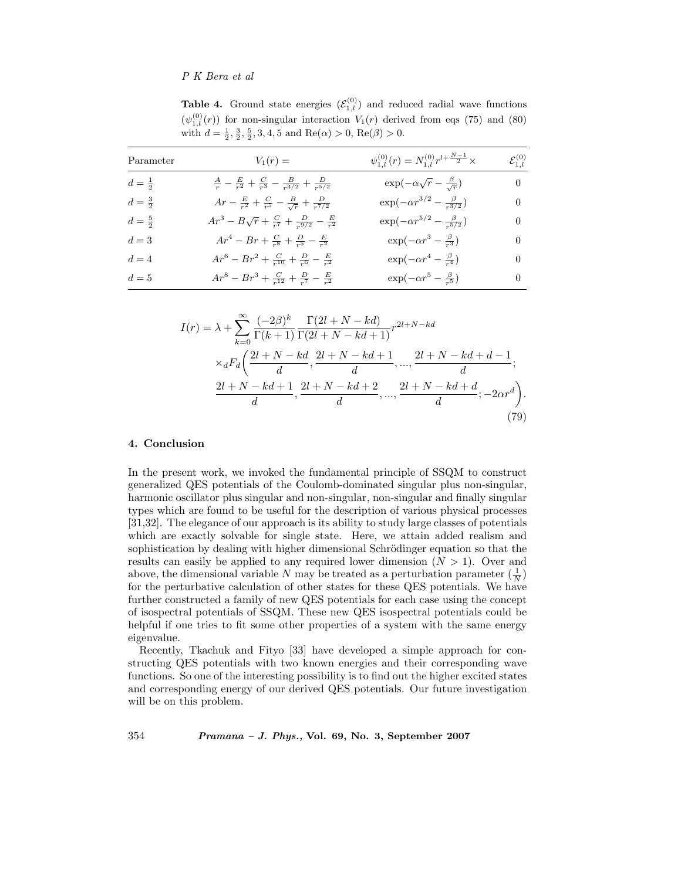**Table 4.** Ground state energies  $(\mathcal{E}_{1,l}^{(0)})$  and reduced radial wave functions  $(\psi_{1,l}^{(0)}(r))$  for non-singular interaction  $V_1(r)$  derived from eqs (75) and (80) with  $d = \frac{1}{2}, \frac{3}{2}, \frac{5}{2}, 3, 4, 5$  and  $\text{Re}(\alpha) > 0$ ,  $\text{Re}(\beta) > 0$ .

| Parameter       | $V_1(r) =$                                                                            | $\psi_{1,l}^{(0)}(r) = N_{1,l}^{(0)} r^{l+\frac{N-1}{2}} \times$ | $\mathcal{E}_{1.l}^{(0)}$ |
|-----------------|---------------------------------------------------------------------------------------|------------------------------------------------------------------|---------------------------|
| $d=\frac{1}{2}$ | $\frac{A}{r} - \frac{E}{r^2} + \frac{C}{r^3} - \frac{B}{r^{3/2}} + \frac{D}{r^{5/2}}$ | $\exp(-\alpha\sqrt{r}-\frac{\beta}{\sqrt{r}})$                   | $\overline{0}$            |
| $d=\frac{3}{2}$ | $Ar - \frac{E}{r^2} + \frac{C}{r^5} - \frac{B}{\sqrt{r}} + \frac{D}{r^{7/2}}$         | $\exp(-\alpha r^{3/2} - \frac{\beta}{r^{3/2}})$                  | $\theta$                  |
| $d=\frac{5}{2}$ | $Ar^3 - B\sqrt{r} + \frac{C}{r^7} + \frac{D}{r^{9/2}} - \frac{E}{r^2}$                | $\exp(-\alpha r^{5/2} - \frac{\beta}{r^{5/2}})$                  | $\theta$                  |
| $d=3$           | $Ar^{4} - Br + \frac{C}{r^{8}} + \frac{D}{r^{5}} - \frac{E}{r^{2}}$                   | $\exp(-\alpha r^3 - \frac{\beta}{r^3})$                          | $\theta$                  |
| $d=4$           | $Ar^6 - Br^2 + \frac{C}{r^{10}} + \frac{D}{r^6} - \frac{E}{r^2}$                      | $\exp(-\alpha r^4 - \frac{\beta}{r^4})$                          | $\theta$                  |
| $d=5$           | $Ar^8 - Br^3 + \frac{C}{r^{12}} + \frac{D}{r^7} - \frac{E}{r^2}$                      | $\exp(-\alpha r^5 - \frac{\beta}{r^5})$                          | $\left($                  |

$$
I(r) = \lambda + \sum_{k=0}^{\infty} \frac{(-2\beta)^k}{\Gamma(k+1)} \frac{\Gamma(2l+N-kd)}{\Gamma(2l+N-kd+1)} r^{2l+N-kd} \times {}_dF_d \left( \frac{2l+N-kd}{d}, \frac{2l+N-kd+1}{d}, \dots, \frac{2l+N-kd+d-1}{d}; \frac{2l+N-kd+1}{d}, \frac{2l+N-kd+2}{d}, \dots, \frac{2l+N-kd+d}{d}; -2\alpha r^d \right).
$$
\n(79)

### **4. Conclusion**

In the present work, we invoked the fundamental principle of SSQM to construct generalized QES potentials of the Coulomb-dominated singular plus non-singular, harmonic oscillator plus singular and non-singular, non-singular and finally singular types which are found to be useful for the description of various physical processes [31,32]. The elegance of our approach is its ability to study large classes of potentials which are exactly solvable for single state. Here, we attain added realism and sophistication by dealing with higher dimensional Schrödinger equation so that the results can easily be applied to any required lower dimension  $(N > 1)$ . Over and above, the dimensional variable N may be treated as a perturbation parameter  $(\frac{1}{N})$ for the perturbative calculation of other states for these QES potentials. We have further constructed a family of new QES potentials for each case using the concept of isospectral potentials of SSQM. These new QES isospectral potentials could be helpful if one tries to fit some other properties of a system with the same energy eigenvalue.

Recently, Tkachuk and Fityo [33] have developed a simple approach for constructing QES potentials with two known energies and their corresponding wave functions. So one of the interesting possibility is to find out the higher excited states and corresponding energy of our derived QES potentials. Our future investigation will be on this problem.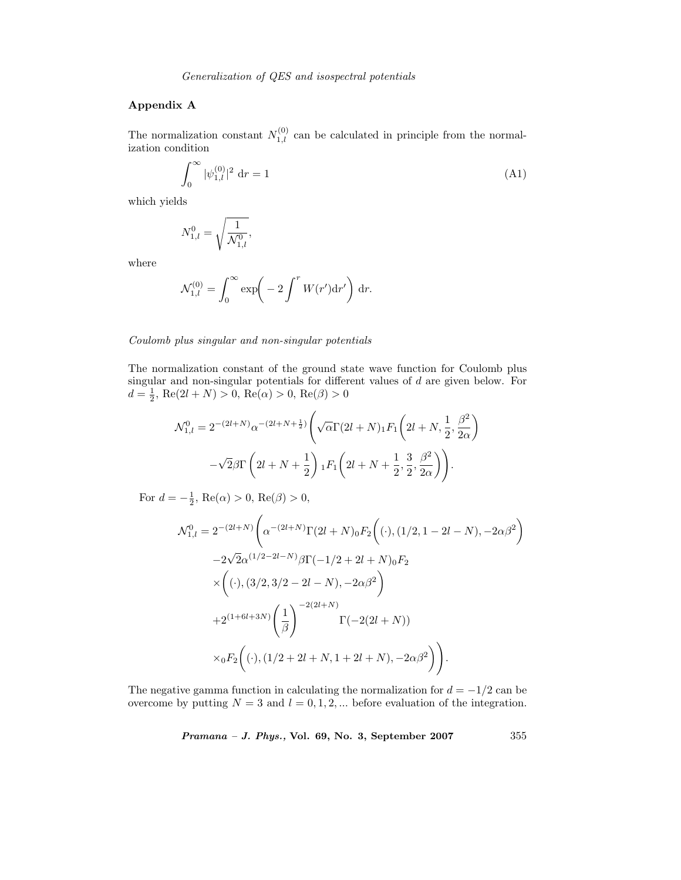# **Appendix A**

The normalization constant  $N_{1,l}^{(0)}$  can be calculated in principle from the normalization condition

$$
\int_0^\infty |\psi_{1,l}^{(0)}|^2 \, \mathrm{d}r = 1\tag{A1}
$$

which yields

$$
N_{1,l}^0 = \sqrt{\frac{1}{\mathcal{N}_{1,l}^0}},
$$

where

$$
\mathcal{N}_{1,l}^{(0)} = \int_0^\infty \exp\!\left(-2 \int^r W(r') \mathrm{d}r'\right) \mathrm{d}r.
$$

#### *Coulomb plus singular and non-singular potentials*

The normalization constant of the ground state wave function for Coulomb plus singular and non-singular potentials for different values of d are given below. For  $d = \frac{1}{2}$ , Re(2l + N) > 0, Re( $\alpha$ ) > 0, Re( $\beta$ ) > 0

$$
\mathcal{N}_{1,l}^{0} = 2^{-(2l+N)} \alpha^{-(2l+N+\frac{1}{2})} \left( \sqrt{\alpha} \Gamma(2l+N) {}_{1}F_{1} \left( 2l+N, \frac{1}{2}, \frac{\beta^{2}}{2\alpha} \right) - \sqrt{2} \beta \Gamma \left( 2l+N+\frac{1}{2} \right) {}_{1}F_{1} \left( 2l+N+\frac{1}{2}, \frac{3}{2}, \frac{\beta^{2}}{2\alpha} \right) \right).
$$

For  $d = -\frac{1}{2}$ , Re( $\alpha$ ) > 0, Re( $\beta$ ) > 0,

$$
\mathcal{N}_{1,l}^{0} = 2^{-(2l+N)} \left( \alpha^{-(2l+N)} \Gamma(2l+N)_{0} F_{2} \left( (.),(1/2,1-2l-N),-2\alpha\beta^{2} \right) \right.\n-2\sqrt{2}\alpha^{(1/2-2l-N)}\beta \Gamma(-1/2+2l+N)_{0} F_{2} \n\times \left( (.),(3/2,3/2-2l-N),-2\alpha\beta^{2} \right) \n+2^{(1+6l+3N)} \left( \frac{1}{\beta} \right)^{-2(2l+N)} \Gamma(-2(2l+N)) \n\times {}_{0}F_{2} \left( (.),(1/2+2l+N,1+2l+N),-2\alpha\beta^{2} \right) \right).
$$

The negative gamma function in calculating the normalization for  $d = -1/2$  can be overcome by putting  $N = 3$  and  $l = 0, 1, 2, ...$  before evaluation of the integration.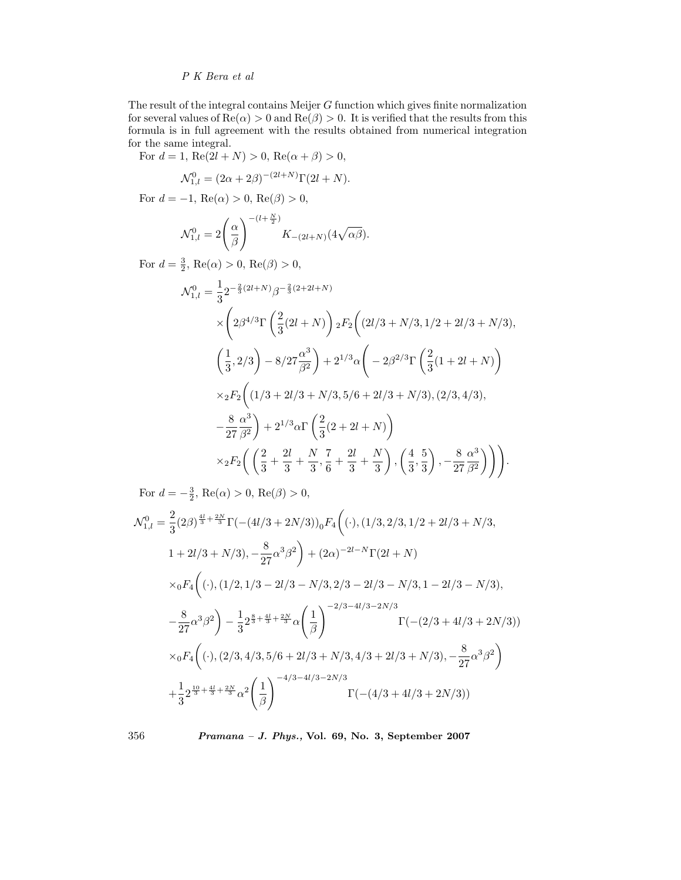The result of the integral contains Meijer G function which gives finite normalization for several values of  $\text{Re}(\alpha) > 0$  and  $\text{Re}(\beta) > 0$ . It is verified that the results from this formula is in full agreement with the results obtained from numerical integration for the same integral.

For  $d = 1$ ,  $Re(2l + N) > 0$ ,  $Re(\alpha + \beta) > 0$ ,

$$
\mathcal{N}^0_{1,l} = (2\alpha + 2\beta)^{-(2l+N)} \Gamma(2l+N).
$$

For  $d = -1$ , Re( $\alpha$ ) > 0, Re( $\beta$ ) > 0,

$$
\mathcal{N}_{1,l}^0 = 2\left(\frac{\alpha}{\beta}\right)^{-(l+\frac{N}{2})} K_{-(2l+N)}(4\sqrt{\alpha\beta}).
$$

For  $d = \frac{3}{2}$ , Re( $\alpha$ ) > 0, Re( $\beta$ ) > 0,

$$
\mathcal{N}_{1,l}^{0} = \frac{1}{3} 2^{-\frac{2}{3}(2l+N)} \beta^{-\frac{2}{3}(2+2l+N)} \times \left( 2\beta^{4/3} \Gamma\left(\frac{2}{3}(2l+N)\right) 2F_2\left((2l/3+N/3,1/2+2l/3+N/3),\right.\\ \left. \left(\frac{1}{3},2/3\right) - 8/27 \frac{\alpha^3}{\beta^2}\right) + 2^{1/3} \alpha \left( -2\beta^{2/3} \Gamma\left(\frac{2}{3}(1+2l+N)\right) \right.\\ \times {}_2F_2\left((1/3+2l/3+N/3,5/6+2l/3+N/3),(2/3,4/3),\right.\\ \left. - \frac{8}{27} \frac{\alpha^3}{\beta^2}\right) + 2^{1/3} \alpha \Gamma\left(\frac{2}{3}(2+2l+N)\right) \times {}_2F_2\left(\left(\frac{2}{3}+\frac{2l}{3}+\frac{N}{3},\frac{7}{6}+\frac{2l}{3}+\frac{N}{3}\right),\left(\frac{4}{3},\frac{5}{3}\right),-\frac{8}{27}\frac{\alpha^3}{\beta^2}\right)\right).
$$

For  $d = -\frac{3}{2}$ , Re( $\alpha$ ) > 0, Re( $\beta$ ) > 0,

$$
\mathcal{N}_{1,l}^{0} = \frac{2}{3} (2\beta)^{\frac{4l}{3} + \frac{2N}{3}} \Gamma(-(4l/3 + 2N/3))_0 F_4 \left( ( \cdot ), (1/3, 2/3, 1/2 + 2l/3 + N/3, \n1 + 2l/3 + N/3), -\frac{8}{27} \alpha^3 \beta^2 \right) + (2\alpha)^{-2l - N} \Gamma(2l + N) \n\times {}_0F_4 \left( ( \cdot ), (1/2, 1/3 - 2l/3 - N/3, 2/3 - 2l/3 - N/3, 1 - 2l/3 - N/3), \n- \frac{8}{27} \alpha^3 \beta^2 \right) - \frac{1}{3} 2^{\frac{8}{3} + \frac{4l}{3} + \frac{2N}{3}} \alpha \left( \frac{1}{\beta} \right)^{-2/3 - 4l/3 - 2N/3} \Gamma(-(2/3 + 4l/3 + 2N/3)) \n\times {}_0F_4 \left( ( \cdot ), (2/3, 4/3, 5/6 + 2l/3 + N/3, 4/3 + 2l/3 + N/3), -\frac{8}{27} \alpha^3 \beta^2 \right) \n+ \frac{1}{3} 2^{\frac{10}{3} + \frac{4l}{3} + \frac{2N}{3}} \alpha^2 \left( \frac{1}{\beta} \right)^{-4/3 - 4l/3 - 2N/3} \Gamma(-(4/3 + 4l/3 + 2N/3))
$$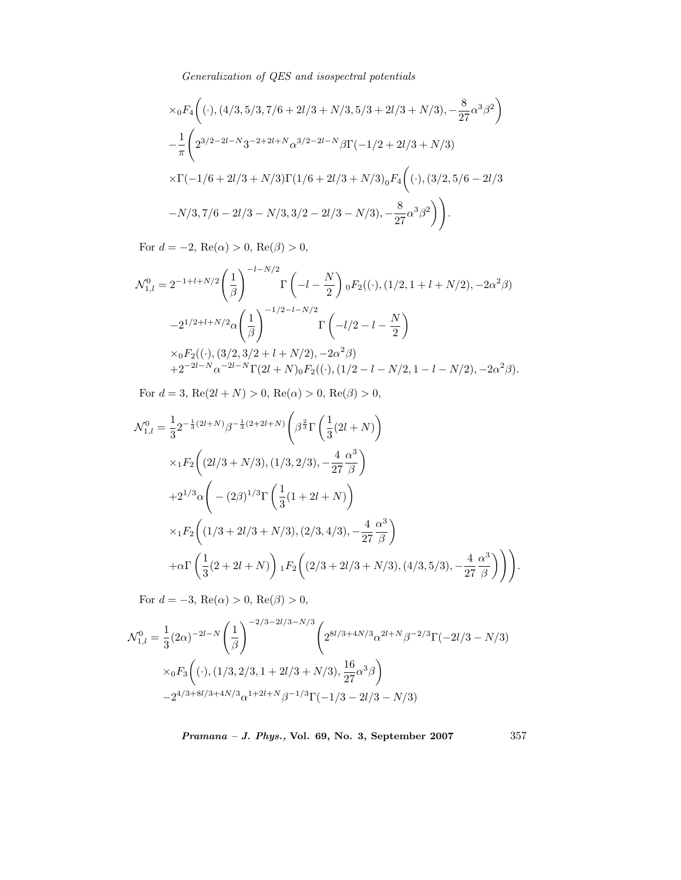$$
\times {}_0F_4\left( ( \cdot ), (4/3, 5/3, 7/6 + 2l/3 + N/3, 5/3 + 2l/3 + N/3), -\frac{8}{27}\alpha^3\beta^2 \right)
$$
  

$$
- \frac{1}{\pi} \left( 2^{3/2 - 2l - N} 3^{-2 + 2l + N} \alpha^{3/2 - 2l - N} \beta \Gamma(-1/2 + 2l/3 + N/3) \right)
$$
  

$$
\times \Gamma(-1/6 + 2l/3 + N/3) \Gamma(1/6 + 2l/3 + N/3)_0 F_4\left( (\cdot ), (3/2, 5/6 - 2l/3 - N/3, 7/6 - 2l/3 - N/3, 3/2 - 2l/3 - N/3), -\frac{8}{27}\alpha^3\beta^2 \right) \right).
$$

For  $d = -2$ ,  $\text{Re}(\alpha) > 0$ ,  $\text{Re}(\beta) > 0$ ,

$$
\mathcal{N}_{1,l}^{0} = 2^{-1+l+N/2} \left(\frac{1}{\beta}\right)^{-l-N/2} \Gamma\left(-l - \frac{N}{2}\right) {}_{0}F_{2}((\cdot), (1/2, 1+l+N/2), -2\alpha^{2}\beta)
$$

$$
-2^{1/2+l+N/2} \alpha \left(\frac{1}{\beta}\right)^{-1/2-l-N/2} \Gamma\left(-l/2 - l - \frac{N}{2}\right)
$$

$$
\times {}_{0}F_{2}((\cdot), (3/2, 3/2+l+N/2), -2\alpha^{2}\beta)
$$

$$
+2^{-2l-N} \alpha^{-2l-N} \Gamma(2l+N) {}_{0}F_{2}((\cdot), (1/2-l-N/2, 1-l-N/2), -2\alpha^{2}\beta).
$$

For  $d = 3$ , Re $(2l + N) > 0$ , Re $(\alpha) > 0$ , Re $(\beta) > 0$ ,

$$
\mathcal{N}_{1,l}^{0} = \frac{1}{3} 2^{-\frac{1}{3}(2l+N)} \beta^{-\frac{1}{3}(2+2l+N)} \left( \beta^{\frac{2}{3}} \Gamma \left( \frac{1}{3}(2l+N) \right) \right)
$$
  
\n
$$
\times {}_{1}F_{2} \left( (2l/3+N/3), (1/3,2/3), -\frac{4}{27} \frac{\alpha^{3}}{\beta} \right)
$$
  
\n
$$
+ 2^{1/3} \alpha \left( -(2\beta)^{1/3} \Gamma \left( \frac{1}{3}(1+2l+N) \right) \right)
$$
  
\n
$$
\times {}_{1}F_{2} \left( (1/3+2l/3+N/3), (2/3,4/3), -\frac{4}{27} \frac{\alpha^{3}}{\beta} \right)
$$
  
\n
$$
+ \alpha \Gamma \left( \frac{1}{3}(2+2l+N) \right) {}_{1}F_{2} \left( (2/3+2l/3+N/3), (4/3,5/3), -\frac{4}{27} \frac{\alpha^{3}}{\beta} \right) \bigg) .
$$

For  $d = -3$ , Re $(\alpha) > 0$ , Re $(\beta) > 0$ ,

$$
\mathcal{N}_{1,l}^{0} = \frac{1}{3} (2\alpha)^{-2l - N} \left(\frac{1}{\beta}\right)^{-2/3 - 2l/3 - N/3} \left( 2^{8l/3 + 4N/3} \alpha^{2l + N} \beta^{-2/3} \Gamma(-2l/3 - N/3) \right)
$$
  
 
$$
\times {}_0F_3 \left( (\cdot), (1/3, 2/3, 1 + 2l/3 + N/3), \frac{16}{27} \alpha^3 \beta \right)
$$
  
 
$$
-2^{4/3 + 8l/3 + 4N/3} \alpha^{1 + 2l + N} \beta^{-1/3} \Gamma(-1/3 - 2l/3 - N/3)
$$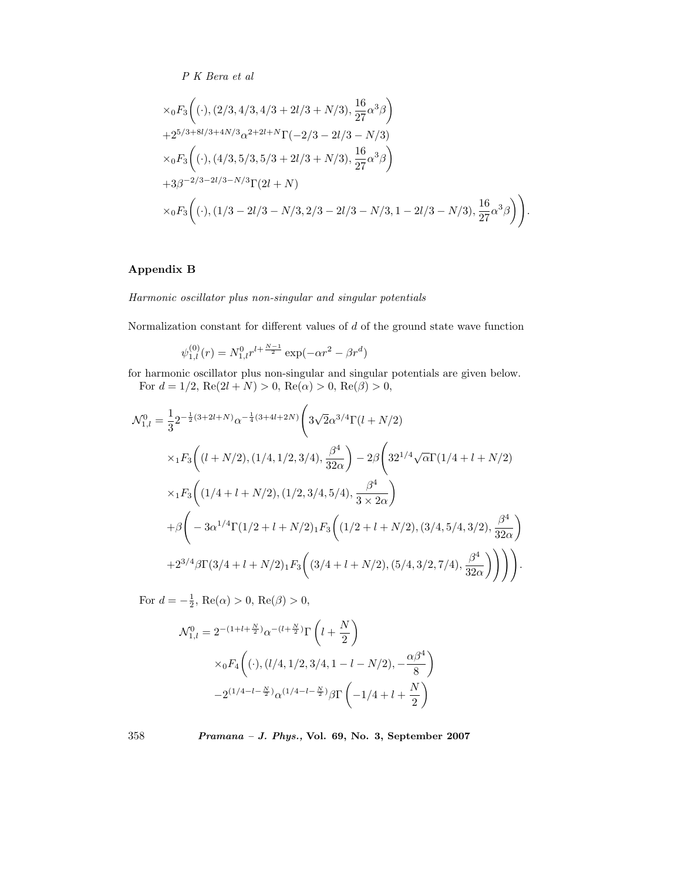$$
\times {}_0F_3 \left( ( \cdot ), (2/3, 4/3, 4/3 + 2l/3 + N/3 ), \frac{16}{27} \alpha^3 \beta \right)
$$
  
+2<sup>5/3+8l/3+4N/3</sup>  $\alpha^{2+2l+N} \Gamma(-2/3 - 2l/3 - N/3)$   

$$
\times {}_0F_3 \left( ( \cdot ), (4/3, 5/3, 5/3 + 2l/3 + N/3 ), \frac{16}{27} \alpha^3 \beta \right)
$$
  
+3 $\beta^{-2/3-2l/3-N/3} \Gamma(2l + N)$   

$$
\times {}_0F_3 \left( ( \cdot ), (1/3 - 2l/3 - N/3, 2/3 - 2l/3 - N/3, 1 - 2l/3 - N/3 ), \frac{16}{27} \alpha^3 \beta \right) \bigg).
$$

# **Appendix B**

*Harmonic oscillator plus non-singular and singular potentials*

Normalization constant for different values of  $d$  of the ground state wave function

$$
\psi_{1,l}^{(0)}(r) = N_{1,l}^{0} r^{l + \frac{N-1}{2}} \exp(-\alpha r^2 - \beta r^d)
$$

for harmonic oscillator plus non-singular and singular potentials are given below. For  $d = 1/2$ ,  $Re(2l + N) > 0$ ,  $Re(\alpha) > 0$ ,  $Re(\beta) > 0$ ,

$$
\mathcal{N}_{1,l}^{0} = \frac{1}{3} 2^{-\frac{1}{2}(3+2l+N)} \alpha^{-\frac{1}{4}(3+4l+2N)} \left( 3\sqrt{2} \alpha^{3/4} \Gamma(l+N/2) \right)
$$
  
\n
$$
\times {}_{1}F_{3} \left( (l+N/2), (1/4, 1/2, 3/4), \frac{\beta^{4}}{32\alpha} \right) - 2\beta \left( 32^{1/4} \sqrt{\alpha} \Gamma(1/4+l+N/2) \right)
$$
  
\n
$$
\times {}_{1}F_{3} \left( (1/4+l+N/2), (1/2, 3/4, 5/4), \frac{\beta^{4}}{3 \times 2\alpha} \right)
$$
  
\n
$$
+ \beta \left( -3\alpha^{1/4} \Gamma(1/2+l+N/2) {}_{1}F_{3} \left( (1/2+l+N/2), (3/4, 5/4, 3/2), \frac{\beta^{4}}{32\alpha} \right) \right)
$$
  
\n
$$
+ 2^{3/4} \beta \Gamma(3/4+l+N/2) {}_{1}F_{3} \left( (3/4+l+N/2), (5/4, 3/2, 7/4), \frac{\beta^{4}}{32\alpha} \right) \right) \bigg) .
$$

For  $d = -\frac{1}{2}$ , Re( $\alpha$ ) > 0, Re( $\beta$ ) > 0,

$$
\begin{split} \mathcal{N}_{1,l}^0 = 2^{-(1+l+\frac{N}{2})} \alpha^{-(l+\frac{N}{2})} \Gamma\left(l+\frac{N}{2}\right) \\ \times_0 F_4\bigg( (\cdot), (l/4, 1/2, 3/4, 1-l-N/2), -\frac{\alpha\beta^4}{8} \bigg) \\ -2^{(1/4-l-\frac{N}{2})} \alpha^{(1/4-l-\frac{N}{2})} \beta \Gamma\left(-1/4+l+\frac{N}{2}\right) \end{split}
$$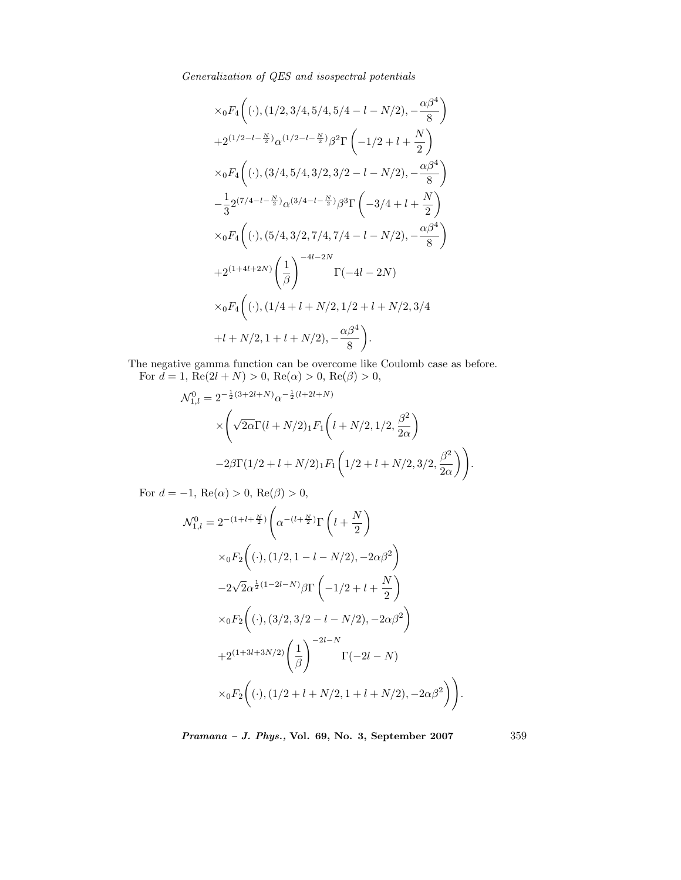$$
\times {}_0F_4\left( ( \cdot ), (1/2, 3/4, 5/4, 5/4 - l - N/2), -\frac{\alpha\beta^4}{8} \right)
$$
  
+2<sup>(1/2-l-\frac{N}{2})</sup> $\alpha$ <sup>(1/2-l-\frac{N}{2})</sup> $\beta^2 \Gamma\left( -1/2 + l + \frac{N}{2} \right)$   
 $\times {}_0F_4\left( ( \cdot ), (3/4, 5/4, 3/2, 3/2 - l - N/2), -\frac{\alpha\beta^4}{8} \right)$   
 $-\frac{1}{3} 2^{(7/4-l-\frac{N}{2})} \alpha^{(3/4-l-\frac{N}{2})} \beta^3 \Gamma\left( -3/4 + l + \frac{N}{2} \right)$   
 $\times {}_0F_4\left( ( \cdot ), (5/4, 3/2, 7/4, 7/4 - l - N/2), -\frac{\alpha\beta^4}{8} \right)$   
+2<sup>(1+4l+2N)</sup> $\left( \frac{1}{\beta} \right)$ <sup>-4l-2N</sup>  
 $\times {}_0F_4\left( ( \cdot ), (1/4 + l + N/2, 1/2 + l + N/2, 3/4 + l + N/2, 1 + l + N/2, 1 + l + N/2), -\frac{\alpha\beta^4}{8} \right).$ 

The negative gamma function can be overcome like Coulomb case as before. For  $d = 1$ , Re(2l + N) > 0, Re( $\alpha$ ) > 0, Re( $\beta$ ) > 0,

$$
\mathcal{N}_{1,l}^{0} = 2^{-\frac{1}{2}(3+2l+N)} \alpha^{-\frac{1}{2}(l+2l+N)} \times \left( \sqrt{2\alpha} \Gamma(l+N/2) \cdot 2\Gamma(l+N/2) \cdot 2\Gamma(l+N/2) \cdot 2\Gamma(l/2 + l+N/2) \cdot 2\Gamma(l/2 + l+N/2) \cdot 2\Gamma(l/2 + l+N/2) \cdot 3\Gamma(l/2 + l+N/2) \cdot 3\Gamma(l/2 + l+N/2) \cdot 3\Gamma(l/2 + l+N/2) \cdot 3\Gamma(l/2 + l+N/2) \cdot 3\Gamma(l/2 + l+N/2) \cdot 3\Gamma(l/2 + l+N/2) \cdot 3\Gamma(l/2 + l+N/2) \cdot 3\Gamma(l/2 + l+N/2) \cdot 3\Gamma(l/2 + l+N/2) \cdot 3\Gamma(l/2 + l+N/2) \cdot 3\Gamma(l/2 + l+N/2) \cdot 3\Gamma(l/2 + l+N/2) \cdot 3\Gamma(l/2 + l+N/2) \cdot 3\Gamma(l/2 + l+N/2) \cdot 3\Gamma(l/2 + l+N/2) \cdot 3\Gamma(l/2 + l+N/2) \cdot 3\Gamma(l/2 + l+N/2) \cdot 3\Gamma(l/2 + l+N/2) \cdot 3\Gamma(l/2 + l+N/2) \cdot 3\Gamma(l/2 + l+N/2) \cdot 3\Gamma(l/2 + l+N/2) \cdot 3\Gamma(l/2 + l+N/2) \cdot 3\Gamma(l/2 + l+N/2) \cdot 3\Gamma(l/2 + l+N/2) \cdot 3\Gamma(l/2 + l+N/2) \cdot 3\Gamma(l/2 + l+N/2) \cdot 3\Gamma(l/2 + l+N/2) \cdot 3\Gamma(l/2 + l+N/2) \cdot 3\Gamma(l/2 + l+N/2) \cdot 3\Gamma(l/2 + l+N/2) \cdot 3\Gamma(l/2 + l+N/2) \cdot 3\Gamma(l/2 + l+N/2) \cdot 3\Gamma(l/2 + l+N/2) \cdot 3\Gamma(l/2 + l+N/2) \cdot 3\Gamma(l/2 + l+N/2) \cdot 3\Gamma(l/2 + l+N/2) \cdot 3\Gamma(l/2 + l+N/2) \cdot 3\Gamma(l/2 + l+N/2) \cdot 3\Gamma(l/2 + l+N/2) \cdot 3\Gamma(l/2 + l+N/2) \cdot 3\Gamma(l/2 + l+N/2) \cdot 3\Gamma(l/2 + l+N/2
$$

For  $d = -1$ , Re $(\alpha) > 0$ , Re $(\beta) > 0$ ,

$$
\mathcal{N}_{1,l}^{0} = 2^{-(1+l+\frac{N}{2})} \left( \alpha^{-(l+\frac{N}{2})} \Gamma\left(l+\frac{N}{2}\right) \right.
$$
  
\n
$$
\times {}_0F_2 \left( (\cdot), (1/2, 1-l-N/2), -2\alpha\beta^2 \right)
$$
  
\n
$$
-2\sqrt{2}\alpha^{\frac{1}{2}(1-2l-N)}\beta \Gamma\left(-1/2+l+\frac{N}{2}\right)
$$
  
\n
$$
\times {}_0F_2 \left( (\cdot), (3/2, 3/2-l-N/2), -2\alpha\beta^2 \right)
$$
  
\n
$$
+2^{(1+3l+3N/2)} \left( \frac{1}{\beta} \right)^{-2l-N} \Gamma(-2l-N)
$$
  
\n
$$
\times {}_0F_2 \left( (\cdot), (1/2+l+N/2, 1+l+N/2), -2\alpha\beta^2 \right) \bigg).
$$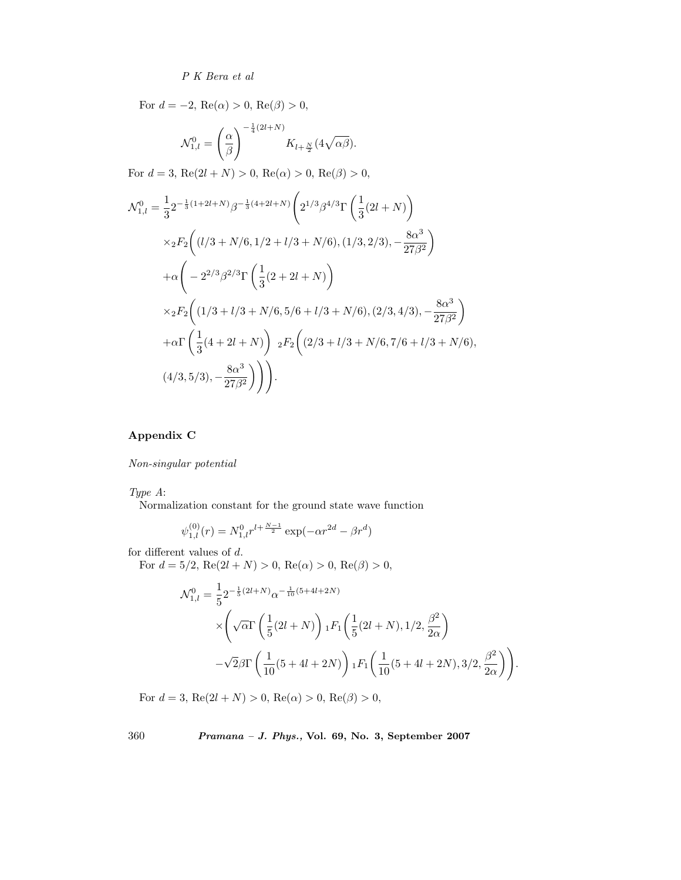For  $d = -2$ ,  $\text{Re}(\alpha) > 0$ ,  $\text{Re}(\beta) > 0$ ,

$$
\mathcal{N}_{1,l}^0 = \left(\frac{\alpha}{\beta}\right)^{-\frac{1}{4}(2l+N)} K_{l+\frac{N}{2}}(4\sqrt{\alpha\beta}).
$$

For  $d = 3$ , Re $(2l + N) > 0$ , Re $(\alpha) > 0$ , Re $(\beta) > 0$ ,

$$
\mathcal{N}_{1,l}^{0} = \frac{1}{3} 2^{-\frac{1}{3}(1+2l+N)} \beta^{-\frac{1}{3}(4+2l+N)} \left( 2^{1/3} \beta^{4/3} \Gamma \left( \frac{1}{3} (2l+N) \right) \right.
$$
  
\n
$$
\times {}_{2}F_{2} \left( (l/3 + N/6, 1/2 + l/3 + N/6), (1/3, 2/3), -\frac{8\alpha^{3}}{27\beta^{2}} \right)
$$
  
\n
$$
+ \alpha \left( -2^{2/3} \beta^{2/3} \Gamma \left( \frac{1}{3} (2 + 2l + N) \right) \right.
$$
  
\n
$$
\times {}_{2}F_{2} \left( (1/3 + l/3 + N/6, 5/6 + l/3 + N/6), (2/3, 4/3), -\frac{8\alpha^{3}}{27\beta^{2}} \right)
$$
  
\n
$$
+ \alpha \Gamma \left( \frac{1}{3} (4 + 2l + N) \right) {}_{2}F_{2} \left( (2/3 + l/3 + N/6, 7/6 + l/3 + N/6), (4/3, 5/3), -\frac{8\alpha^{3}}{27\beta^{2}} \right) \right).
$$

# **Appendix C**

*Non-singular potential*

*Type A*:

Normalization constant for the ground state wave function

$$
\psi_{1,l}^{(0)}(r) = N_{1,l}^{0} r^{l + \frac{N-1}{2}} \exp(-\alpha r^{2d} - \beta r^d)
$$

for different values of d.

For  $d = 5/2$ ,  $Re(2l + N) > 0$ ,  $Re(\alpha) > 0$ ,  $Re(\beta) > 0$ ,

$$
\mathcal{N}_{1,l}^{0} = \frac{1}{5} 2^{-\frac{1}{5}(2l+N)} \alpha^{-\frac{1}{10}(5+4l+2N)} \times \left( \sqrt{\alpha} \Gamma \left( \frac{1}{5}(2l+N) \right) {}_{1}F_{1} \left( \frac{1}{5}(2l+N), 1/2, \frac{\beta^{2}}{2\alpha} \right) \n- \sqrt{2} \beta \Gamma \left( \frac{1}{10}(5+4l+2N) \right) {}_{1}F_{1} \left( \frac{1}{10}(5+4l+2N), 3/2, \frac{\beta^{2}}{2\alpha} \right) \right)
$$

.

For  $d = 3$ ,  $\text{Re}(2l + N) > 0$ ,  $\text{Re}(\alpha) > 0$ ,  $\text{Re}(\beta) > 0$ ,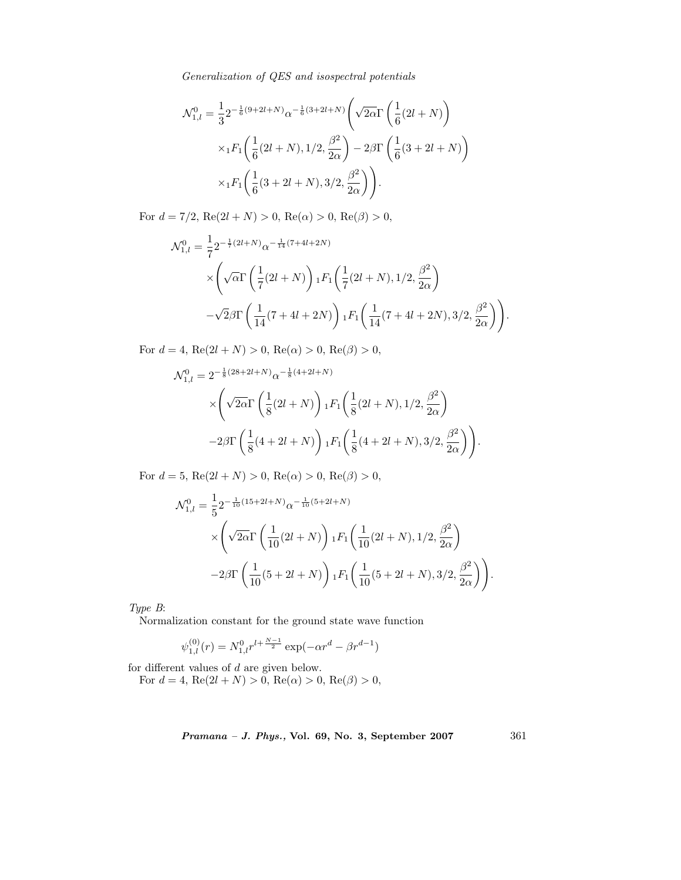$$
\mathcal{N}_{1,l}^{0} = \frac{1}{3} 2^{-\frac{1}{6}(9+2l+N)} \alpha^{-\frac{1}{6}(3+2l+N)} \left( \sqrt{2\alpha} \Gamma \left( \frac{1}{6}(2l+N) \right) \right)
$$

$$
\times {}_{1}F_{1} \left( \frac{1}{6}(2l+N), 1/2, \frac{\beta^{2}}{2\alpha} \right) - 2\beta \Gamma \left( \frac{1}{6}(3+2l+N) \right)
$$

$$
\times {}_{1}F_{1} \left( \frac{1}{6}(3+2l+N), 3/2, \frac{\beta^{2}}{2\alpha} \right) \right).
$$

For  $d = 7/2$ ,  $Re(2l + N) > 0$ ,  $Re(\alpha) > 0$ ,  $Re(\beta) > 0$ ,

$$
\mathcal{N}_{1,l}^{0} = \frac{1}{7} 2^{-\frac{1}{7}(2l+N)} \alpha^{-\frac{1}{14}(7+4l+2N)} \times \left( \sqrt{\alpha} \Gamma \left( \frac{1}{7}(2l+N) \right) {}_{1}F_{1} \left( \frac{1}{7}(2l+N), 1/2, \frac{\beta^{2}}{2\alpha} \right) \n- \sqrt{2} \beta \Gamma \left( \frac{1}{14}(7+4l+2N) \right) {}_{1}F_{1} \left( \frac{1}{14}(7+4l+2N), 3/2, \frac{\beta^{2}}{2\alpha} \right) \right).
$$

For  $d = 4$ ,  $Re(2l + N) > 0$ ,  $Re(\alpha) > 0$ ,  $Re(\beta) > 0$ ,

$$
\mathcal{N}_{1,l}^{0} = 2^{-\frac{1}{8}(28+2l+N)} \alpha^{-\frac{1}{8}(4+2l+N)} \times \left( \sqrt{2\alpha} \Gamma \left( \frac{1}{8}(2l+N) \right) {}_{1}F_{1} \left( \frac{1}{8}(2l+N), 1/2, \frac{\beta^{2}}{2\alpha} \right) -2\beta \Gamma \left( \frac{1}{8}(4+2l+N) \right) {}_{1}F_{1} \left( \frac{1}{8}(4+2l+N), 3/2, \frac{\beta^{2}}{2\alpha} \right) \right).
$$

For  $d = 5$ , Re(2l + N) > 0, Re( $\alpha$ ) > 0, Re( $\beta$ ) > 0,

$$
\mathcal{N}_{1,l}^{0} = \frac{1}{5} 2^{-\frac{1}{10}(15+2l+N)} \alpha^{-\frac{1}{10}(5+2l+N)} \times \left( \sqrt{2\alpha} \Gamma\left(\frac{1}{10}(2l+N)\right) {}_{1}F_{1}\left(\frac{1}{10}(2l+N), 1/2, \frac{\beta^{2}}{2\alpha}\right) \right) -2\beta \Gamma\left(\frac{1}{10}(5+2l+N)\right) {}_{1}F_{1}\left(\frac{1}{10}(5+2l+N), 3/2, \frac{\beta^{2}}{2\alpha}\right) \right).
$$

*Type B*:

Normalization constant for the ground state wave function

$$
\psi_{1,l}^{(0)}(r)=N_{1,l}^0r^{l+\frac{N-1}{2}}\exp(-\alpha r^d-\beta r^{d-1})
$$

for different values of d are given below.

For  $d = 4$ , Re(2l + N) > 0, Re( $\alpha$ ) > 0, Re( $\beta$ ) > 0,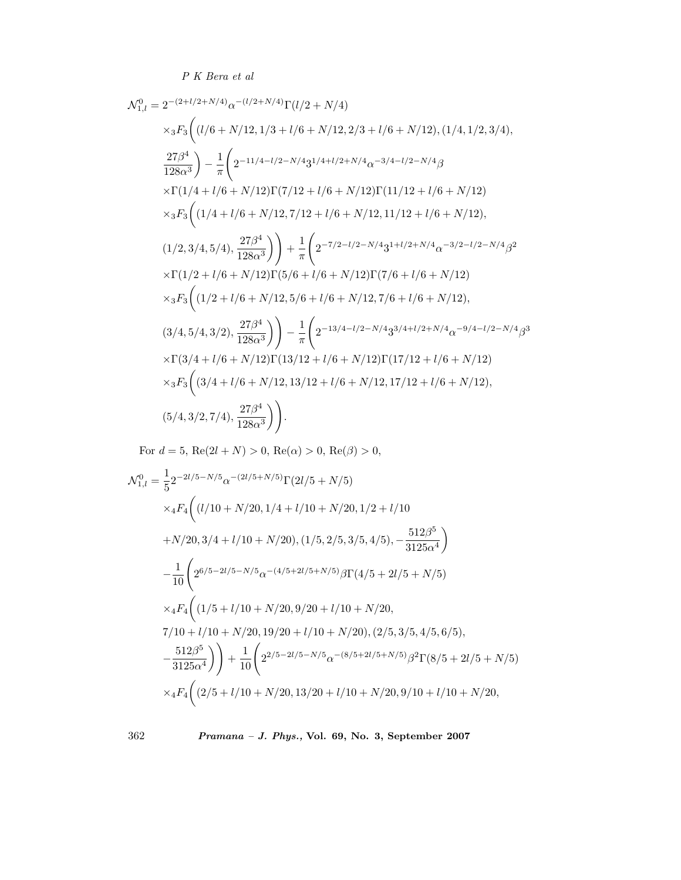$$
\mathcal{N}_{1,l}^{0} = 2^{-(2+l/2+N/4)} \alpha^{-(l/2+N/4)} \Gamma(l/2+N/4)
$$
  
\n
$$
\times {}_3F_3 \left( (l/6 + N/12, 1/3 + l/6 + N/12, 2/3 + l/6 + N/12), (1/4, 1/2, 3/4),
$$
  
\n
$$
\frac{27\beta^4}{128\alpha^3} \right) - \frac{1}{\pi} \left( 2^{-11/4 - l/2 - N/4} 3^{1/4 + l/2 + N/4} \alpha^{-3/4 - l/2 - N/4} \beta
$$
  
\n
$$
\times \Gamma(1/4 + l/6 + N/12) \Gamma(7/12 + l/6 + N/12) \Gamma(11/12 + l/6 + N/12)
$$
  
\n
$$
\times {}_3F_3 \left( (1/4 + l/6 + N/12, 7/12 + l/6 + N/12, 11/12 + l/6 + N/12),
$$
  
\n
$$
(1/2, 3/4, 5/4), \frac{27\beta^4}{128\alpha^3} \right) + \frac{1}{\pi} \left( 2^{-7/2 - l/2 - N/4} 3^{1+l/2 + N/4} \alpha^{-3/2 - l/2 - N/4} \beta^2
$$
  
\n
$$
\times \Gamma(1/2 + l/6 + N/12) \Gamma(5/6 + l/6 + N/12) \Gamma(7/6 + l/6 + N/12)
$$
  
\n
$$
\times {}_3F_3 \left( (1/2 + l/6 + N/12, 5/6 + l/6 + N/12, 7/6 + l/6 + N/12),
$$
  
\n
$$
(3/4, 5/4, 3/2), \frac{27\beta^4}{128\alpha^3} \right) - \frac{1}{\pi} \left( 2^{-13/4 - l/2 - N/4} 3^{3/4 + l/2 + N/4} \alpha^{-9/4 - l/2 - N/4} \beta^3
$$
  
\n
$$
\times \Gamma(3/4 + l/6 + N/12) \Gamma(13/12 + l/6 + N/12) \Gamma(17/12 + l/6 + N/12),
$$
  
\n
$$
8 \times {}
$$

For  $d = 5$ , Re $(2l + N) > 0$ , Re $(\alpha) > 0$ , Re $(\beta) > 0$ ,

$$
\mathcal{N}_{1,l}^{0} = \frac{1}{5} 2^{-2l/5 - N/5} \alpha^{-(2l/5 + N/5)} \Gamma(2l/5 + N/5)
$$
\n
$$
\times {}_4F_4 \bigg( (l/10 + N/20, 1/4 + l/10 + N/20, 1/2 + l/10 + N/20, 3/4 + l/10 + N/20), (1/5, 2/5, 3/5, 4/5), -\frac{512\beta^5}{3125\alpha^4} \bigg)
$$
\n
$$
- \frac{1}{10} \bigg( 2^{6/5 - 2l/5 - N/5} \alpha^{-(4/5 + 2l/5 + N/5)} \beta \Gamma(4/5 + 2l/5 + N/5)
$$
\n
$$
\times {}_4F_4 \bigg( (1/5 + l/10 + N/20, 9/20 + l/10 + N/20, 2/5, 3/5, 4/5, 6/5),
$$
\n
$$
- \frac{512\beta^5}{3125\alpha^4} \bigg) \bigg) + \frac{1}{10} \bigg( 2^{2/5 - 2l/5 - N/5} \alpha^{-(8/5 + 2l/5 + N/5)} \beta^2 \Gamma(8/5 + 2l/5 + N/5) + \frac{512\beta^5}{3125\alpha^4} \bigg) + \frac{1}{10} \bigg( 2^{2/5 - 2l/5 - N/5} \alpha^{-(8/5 + 2l/5 + N/5)} \beta^2 \Gamma(8/5 + 2l/5 + N/5) + \frac{1}{2} \bigg( 2^{2/5 - 2l/5 - N/5} \alpha^{-(8/5 + 2l/5 + N/5)} \beta^2 \Gamma(8/5 + 2l/5 + N/5) + \frac{1}{2} \bigg( 2^{2/5 - 2l/5 - N/5} \alpha^{-(8/5 + 2l/5 + N/5)} \beta^2 \Gamma(8/5 + 2l/5 + N/5) + \frac{1}{2} \bigg( 2^{2/5 - 2l/5 - N/5} \alpha^{-(8/5 + 2l/5 + N/5)} \beta^2 \Gamma(8/5 + 2l/5 + N/5) + \frac{1}{2} \bigg( 2^{2/5 - 2l/5 - N/5}
$$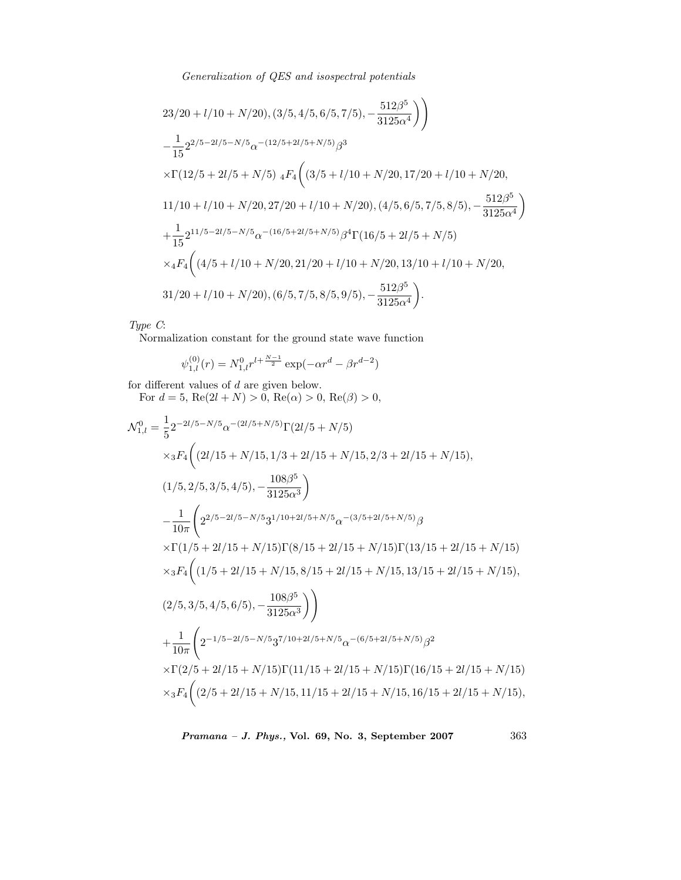$$
23/20 + l/10 + N/20), (3/5, 4/5, 6/5, 7/5), -\frac{512\beta^5}{3125\alpha^4} \Bigg) \Bigg) - \frac{1}{15} 2^{2/5 - 2l/5 - N/5} \alpha^{-(12/5 + 2l/5 + N/5)} \beta^3 \times \Gamma(12/5 + 2l/5 + N/5) \ 4F_4 \Big( (3/5 + l/10 + N/20, 17/20 + l/10 + N/20, 11/10 + l/10 + N/20, 27/20 + l/10 + N/20), (4/5, 6/5, 7/5, 8/5), -\frac{512\beta^5}{3125\alpha^4} \Bigg) + \frac{1}{15} 2^{11/5 - 2l/5 - N/5} \alpha^{-(16/5 + 2l/5 + N/5)} \beta^4 \Gamma(16/5 + 2l/5 + N/5) \times {}_4F_4 \Big( (4/5 + l/10 + N/20, 21/20 + l/10 + N/20, 13/10 + l/10 + N/20, 31/20 + l/10 + N/20), (6/5, 7/5, 8/5, 9/5), -\frac{512\beta^5}{3125\alpha^4} \Bigg).
$$

*Type C*:

Normalization constant for the ground state wave function

$$
\psi_{1,l}^{(0)}(r)=N_{1,l}^0r^{l+\frac{N-1}{2}}\exp(-\alpha r^d-\beta r^{d-2})
$$

for different values of  $d$  are given below.

For  $d = 5$ ,  $\text{Re}(2l + N) > 0$ ,  $\text{Re}(\alpha) > 0$ ,  $\text{Re}(\beta) > 0$ ,

$$
\mathcal{N}_{1,l}^{0} = \frac{1}{5} 2^{-2l/5 - N/5} \alpha^{-(2l/5 + N/5)} \Gamma(2l/5 + N/5)
$$
\n
$$
\times {}_3F_4 \bigg( (2l/15 + N/15, 1/3 + 2l/15 + N/15, 2/3 + 2l/15 + N/15),
$$
\n
$$
(1/5, 2/5, 3/5, 4/5), -\frac{108\beta^5}{3125\alpha^3} \bigg)
$$
\n
$$
-\frac{1}{10\pi} \bigg( 2^{2/5 - 2l/5 - N/5} 3^{1/10 + 2l/5 + N/5} \alpha^{-(3/5 + 2l/5 + N/5)} \beta
$$
\n
$$
\times \Gamma(1/5 + 2l/15 + N/15) \Gamma(8/15 + 2l/15 + N/15) \Gamma(13/15 + 2l/15 + N/15)
$$
\n
$$
\times {}_3F_4 \bigg( (1/5 + 2l/15 + N/15, 8/15 + 2l/15 + N/15, 13/15 + 2l/15 + N/15),
$$
\n
$$
(2/5, 3/5, 4/5, 6/5), -\frac{108\beta^5}{3125\alpha^3} \bigg) \bigg)
$$
\n
$$
+\frac{1}{10\pi} \bigg( 2^{-1/5 - 2l/5 - N/5} 3^{7/10 + 2l/5 + N/5} \alpha^{-(6/5 + 2l/5 + N/5)} \beta^2
$$
\n
$$
\times \Gamma(2/5 + 2l/15 + N/15) \Gamma(11/15 + 2l/15 + N/15) \Gamma(16/15 + 2l/15 + N/15),
$$
\n
$$
\times {}_3F_4 \bigg( (2/5 + 2l/15 + N/15, 11/15 + 2l/15 + N/15, 16/15 + 2l/15 + N/15),
$$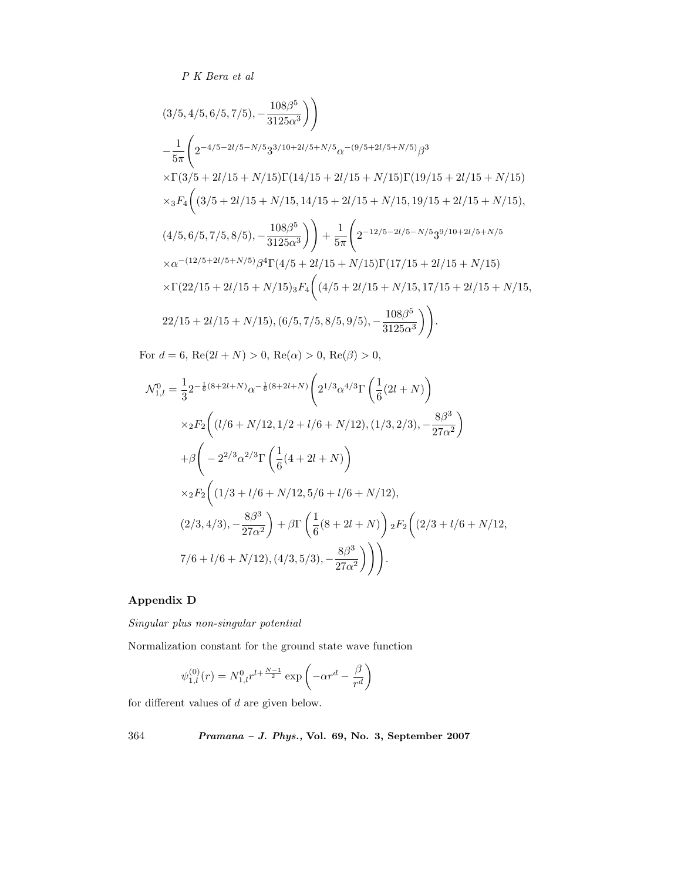$$
(3/5, 4/5, 6/5, 7/5), -\frac{108\beta^5}{3125\alpha^3} \Big) \Bigg)
$$
  
\n
$$
-\frac{1}{5\pi} \Bigg( 2^{-4/5 - 2l/5 - N/5} 3^{3/10 + 2l/5 + N/5} \alpha^{-(9/5 + 2l/5 + N/5)} \beta^3
$$
  
\n
$$
\times \Gamma(3/5 + 2l/15 + N/15) \Gamma(14/15 + 2l/15 + N/15) \Gamma(19/15 + 2l/15 + N/15)
$$
  
\n
$$
\times {}_3F_4 \Bigg( (3/5 + 2l/15 + N/15, 14/15 + 2l/15 + N/15, 19/15 + 2l/15 + N/15),
$$
  
\n
$$
(4/5, 6/5, 7/5, 8/5), -\frac{108\beta^5}{3125\alpha^3} \Bigg) + \frac{1}{5\pi} \Bigg( 2^{-12/5 - 2l/5 - N/5} 3^{9/10 + 2l/5 + N/5} \times \alpha^{-(12/5 + 2l/5 + N/5)} \beta^4 \Gamma(4/5 + 2l/15 + N/15) \Gamma(17/15 + 2l/15 + N/15) \Bigg) \times \Gamma(22/15 + 2l/15 + N/15) {}_3F_4 \Bigg( (4/5 + 2l/15 + N/15, 17/15 + 2l/15 + N/15, 22/15 + 2l/15 + N/15), (6/5, 7/5, 8/5, 9/5), -\frac{108\beta^5}{3125\alpha^3} \Bigg) \Bigg).
$$

For  $d = 6$ ,  $Re(2l + N) > 0$ ,  $Re(\alpha) > 0$ ,  $Re(\beta) > 0$ ,

$$
\mathcal{N}_{1,l}^{0} = \frac{1}{3} 2^{-\frac{1}{6}(8+2l+N)} \alpha^{-\frac{1}{6}(8+2l+N)} \left( 2^{1/3} \alpha^{4/3} \Gamma \left( \frac{1}{6}(2l+N) \right) \right)
$$
  
\n
$$
\times {}_{2}F_{2} \left( (l/6+N/12, 1/2+l/6+N/12), (1/3, 2/3), -\frac{8\beta^{3}}{27\alpha^{2}} \right)
$$
  
\n
$$
+ \beta \left( -2^{2/3} \alpha^{2/3} \Gamma \left( \frac{1}{6}(4+2l+N) \right) \right)
$$
  
\n
$$
\times {}_{2}F_{2} \left( (1/3+l/6+N/12, 5/6+l/6+N/12), (2/3, 4/3), -\frac{8\beta^{3}}{27\alpha^{2}} \right) + \beta \Gamma \left( \frac{1}{6}(8+2l+N) \right) {}_{2}F_{2} \left( (2/3+l/6+N/12, 7/6+l/6+N/12), (4/3, 5/3), -\frac{8\beta^{3}}{27\alpha^{2}} \right) \Bigg).
$$

# **Appendix D**

*Singular plus non-singular potential*

Normalization constant for the ground state wave function

$$
\psi_{1,l}^{(0)}(r) = N_{1,l}^0 r^{l + \frac{N-1}{2}} \exp\left(-\alpha r^d - \frac{\beta}{r^d}\right)
$$

for different values of d are given below.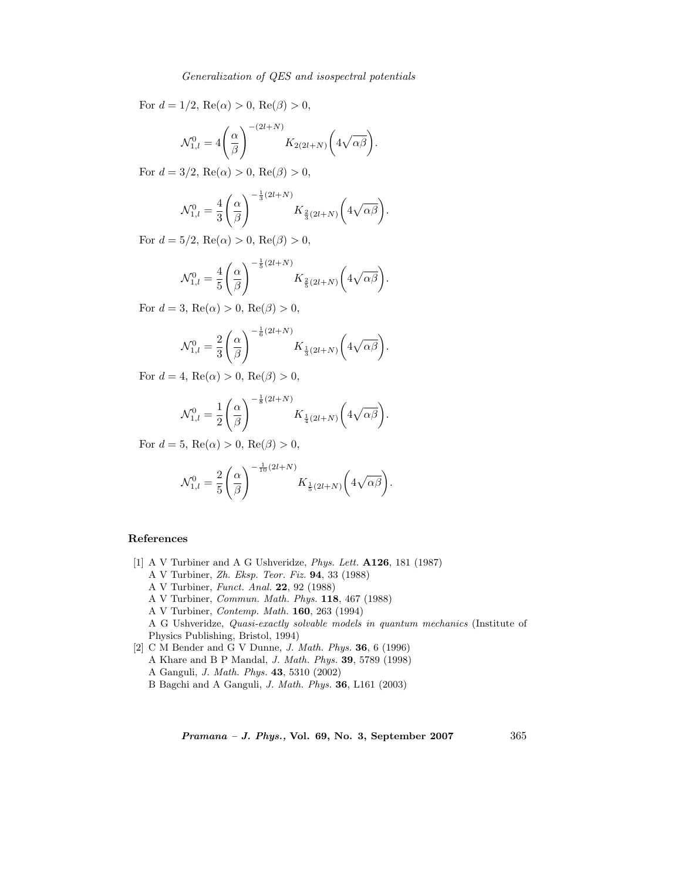For  $d = 1/2$ ,  $\text{Re}(\alpha) > 0$ ,  $\text{Re}(\beta) > 0$ ,

$$
\mathcal{N}_{1,l}^0 = 4\left(\frac{\alpha}{\beta}\right)^{-(2l+N)} K_{2(2l+N)}\left(4\sqrt{\alpha\beta}\right).
$$

For  $d = 3/2$ , Re( $\alpha$ ) > 0, Re( $\beta$ ) > 0,

$$
\mathcal{N}_{1,l}^0 = \frac{4}{3} \left( \frac{\alpha}{\beta} \right)^{-\frac{1}{3}(2l+N)} K_{\frac{2}{3}(2l+N)} \left( 4\sqrt{\alpha \beta} \right).
$$

For  $d = 5/2$ ,  $Re(\alpha) > 0$ ,  $Re(\beta) > 0$ ,

$$
\mathcal{N}_{1,l}^0 = \frac{4}{5} \left( \frac{\alpha}{\beta} \right)^{-\frac{1}{5}(2l+N)} K_{\frac{2}{5}(2l+N)} \left( 4\sqrt{\alpha \beta} \right).
$$

For  $d = 3$ , Re( $\alpha$ ) > 0, Re( $\beta$ ) > 0,

$$
\mathcal{N}_{1,l}^0 = \frac{2}{3} \left( \frac{\alpha}{\beta} \right)^{-\frac{1}{6}(2l+N)} K_{\frac{1}{3}(2l+N)} \left( 4\sqrt{\alpha \beta} \right).
$$

For  $d = 4$ ,  $\text{Re}(\alpha) > 0$ ,  $\text{Re}(\beta) > 0$ ,

$$
\mathcal{N}_{1,l}^0 = \frac{1}{2} \left( \frac{\alpha}{\beta} \right)^{-\frac{1}{8}(2l+N)} K_{\frac{1}{4}(2l+N)} \left( 4\sqrt{\alpha \beta} \right).
$$

For  $d = 5$ , Re( $\alpha$ ) > 0, Re( $\beta$ ) > 0,

$$
\mathcal{N}_{1,l}^0 = \frac{2}{5} \left( \frac{\alpha}{\beta} \right)^{-\frac{1}{10}(2l+N)} K_{\frac{1}{5}(2l+N)} \left( 4\sqrt{\alpha \beta} \right).
$$

#### **References**

- [1] A V Turbiner and A G Ushveridze, *Phys. Lett.* **A126**, 181 (1987)
	- A V Turbiner, *Zh. Eksp. Teor. Fiz.* **94**, 33 (1988)
	- A V Turbiner, *Funct. Anal.* **22**, 92 (1988)
	- A V Turbiner, *Commun. Math. Phys.* **118**, 467 (1988)
	- A V Turbiner, *Contemp. Math.* **160**, 263 (1994)

A G Ushveridze, *Quasi-exactly solvable models in quantum mechanics* (Institute of Physics Publishing, Bristol, 1994)

- [2] C M Bender and G V Dunne, *J. Math. Phys.* **36**, 6 (1996) A Khare and B P Mandal, *J. Math. Phys.* **39**, 5789 (1998)
	- A Ganguli, *J. Math. Phys.* **43**, 5310 (2002)
	- B Bagchi and A Ganguli, *J. Math. Phys.* **36**, L161 (2003)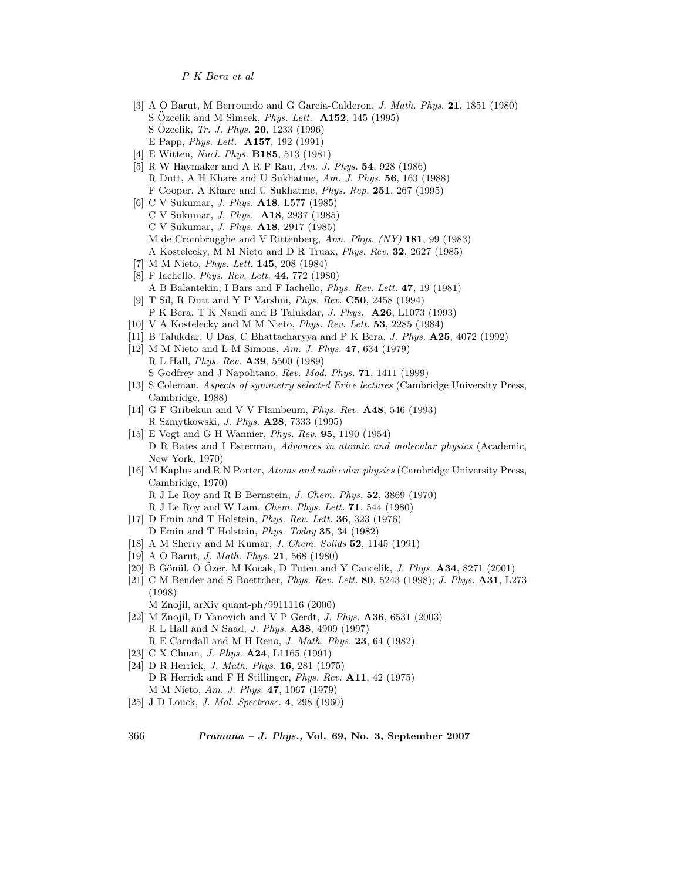- [3] A O Barut, M Berroundo and G Garcia-Calderon, *J. Math. Phys.* **21**, 1851 (1980) S Ozcelik and M Simsek, *Phys. Lett.* **A152**, 145 (1995) S Ozcelik, ¨ *Tr. J. Phys.* **20**, 1233 (1996) E Papp, *Phys. Lett.* **A157**, 192 (1991)
- [4] E Witten, *Nucl. Phys.* **B185**, 513 (1981)
- [5] R W Haymaker and A R P Rau, *Am. J. Phys.* **54**, 928 (1986) R Dutt, A H Khare and U Sukhatme, *Am. J. Phys.* **56**, 163 (1988) F Cooper, A Khare and U Sukhatme, *Phys. Rep.* **251**, 267 (1995)
- [6] C V Sukumar, *J. Phys.* **A18**, L577 (1985) C V Sukumar, *J. Phys.* **A18**, 2937 (1985) C V Sukumar, *J. Phys.* **A18**, 2917 (1985) M de Crombrugghe and V Rittenberg, *Ann. Phys. (NY)* **181**, 99 (1983) A Kostelecky, M M Nieto and D R Truax, *Phys. Rev.* **32**, 2627 (1985)
- [7] M M Nieto, *Phys. Lett.* **145**, 208 (1984)
- [8] F Iachello, *Phys. Rev. Lett.* **44**, 772 (1980) A B Balantekin, I Bars and F Iachello, *Phys. Rev. Lett.* **47**, 19 (1981)
- [9] T Sil, R Dutt and Y P Varshni, *Phys. Rev.* **C50**, 2458 (1994) P K Bera, T K Nandi and B Talukdar, *J. Phys.* **A26**, L1073 (1993)
- [10] V A Kostelecky and M M Nieto, *Phys. Rev. Lett.* **53**, 2285 (1984)
- [11] B Talukdar, U Das, C Bhattacharyya and P K Bera, *J. Phys.* **A25**, 4072 (1992)
- [12] M M Nieto and L M Simons, *Am. J. Phys.* **47**, 634 (1979) R L Hall, *Phys. Rev.* **A39**, 5500 (1989) S Godfrey and J Napolitano, *Rev. Mod. Phys.* **71**, 1411 (1999)
- [13] S Coleman, *Aspects of symmetry selected Erice lectures* (Cambridge University Press, Cambridge, 1988)
- [14] G F Gribekun and V V Flambeum, *Phys. Rev.* **A48**, 546 (1993) R Szmytkowski, *J. Phys.* **A28**, 7333 (1995)
- [15] E Vogt and G H Wannier, *Phys. Rev.* **95**, 1190 (1954) D R Bates and I Esterman, *Advances in atomic and molecular physics* (Academic, New York, 1970)
- [16] M Kaplus and R N Porter, *Atoms and molecular physics* (Cambridge University Press, Cambridge, 1970) R J Le Roy and R B Bernstein, *J. Chem. Phys.* **52**, 3869 (1970)
	- R J Le Roy and W Lam, *Chem. Phys. Lett.* **71**, 544 (1980)
- [17] D Emin and T Holstein, *Phys. Rev. Lett.* **36**, 323 (1976) D Emin and T Holstein, *Phys. Today* **35**, 34 (1982)
- [18] A M Sherry and M Kumar, *J. Chem. Solids* **52**, 1145 (1991)
- [19] A O Barut, *J. Math. Phys.* **21**, 568 (1980)
- [20] B Gönül, O Özer, M Kocak, D Tuteu and Y Cancelik, *J. Phys.* **A34**, 8271 (2001)
- [21] C M Bender and S Boettcher, *Phys. Rev. Lett.* **80**, 5243 (1998); *J. Phys.* **A31**, L273 (1998)
- M Znojil, arXiv quant-ph/9911116 (2000)
- [22] M Znojil, D Yanovich and V P Gerdt, *J. Phys.* **A36**, 6531 (2003) R L Hall and N Saad, *J. Phys.* **A38**, 4909 (1997) R E Carndall and M H Reno, *J. Math. Phys.* **23**, 64 (1982)
- [23] C X Chuan, *J. Phys.* **A24**, L1165 (1991)
- [24] D R Herrick, *J. Math. Phys.* **16**, 281 (1975) D R Herrick and F H Stillinger, *Phys. Rev.* **A11**, 42 (1975) M M Nieto, *Am. J. Phys.* **47**, 1067 (1979)
- [25] J D Louck, *J. Mol. Spectrosc.* **4**, 298 (1960)